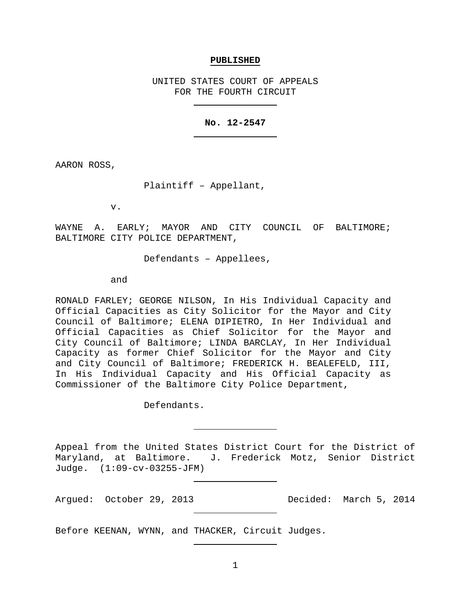#### **PUBLISHED**

UNITED STATES COURT OF APPEALS FOR THE FOURTH CIRCUIT

### **No. 12-2547**

AARON ROSS,

Plaintiff – Appellant,

v.

WAYNE A. EARLY; MAYOR AND CITY COUNCIL OF BALTIMORE; BALTIMORE CITY POLICE DEPARTMENT,

Defendants – Appellees,

and

RONALD FARLEY; GEORGE NILSON, In His Individual Capacity and Official Capacities as City Solicitor for the Mayor and City Council of Baltimore; ELENA DIPIETRO, In Her Individual and Official Capacities as Chief Solicitor for the Mayor and City Council of Baltimore; LINDA BARCLAY, In Her Individual Capacity as former Chief Solicitor for the Mayor and City and City Council of Baltimore; FREDERICK H. BEALEFELD, III, In His Individual Capacity and His Official Capacity as Commissioner of the Baltimore City Police Department,

Defendants.

Appeal from the United States District Court for the District of Maryland, at Baltimore. J. Frederick Motz, Senior District Judge. (1:09-cv-03255-JFM)

Argued: October 29, 2013 Decided: March 5, 2014

Before KEENAN, WYNN, and THACKER, Circuit Judges.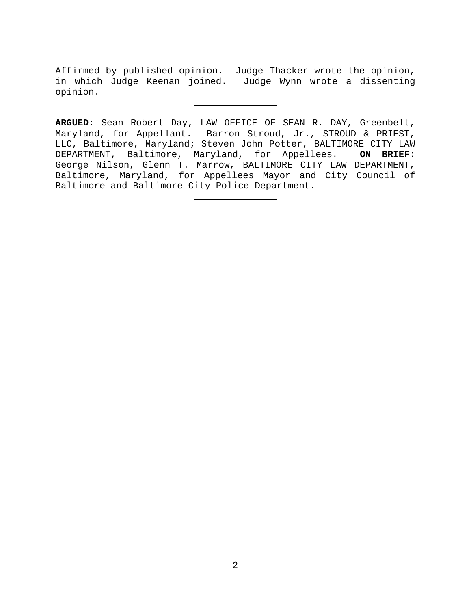Affirmed by published opinion. Judge Thacker wrote the opinion, in which Judge Keenan joined. Judge Wynn wrote a dissenting opinion.

**ARGUED**: Sean Robert Day, LAW OFFICE OF SEAN R. DAY, Greenbelt, Maryland, for Appellant. Barron Stroud, Jr., STROUD & PRIEST, LLC, Baltimore, Maryland; Steven John Potter, BALTIMORE CITY LAW DEPARTMENT, Baltimore, Maryland, for Appellees. **ON BRIEF**: George Nilson, Glenn T. Marrow, BALTIMORE CITY LAW DEPARTMENT, Baltimore, Maryland, for Appellees Mayor and City Council of Baltimore and Baltimore City Police Department.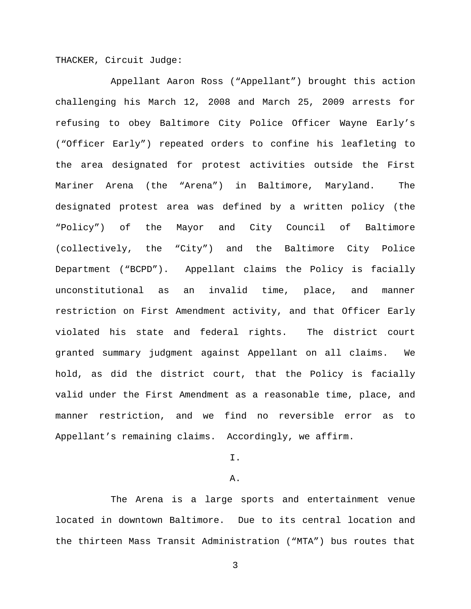THACKER, Circuit Judge:

Appellant Aaron Ross ("Appellant") brought this action challenging his March 12, 2008 and March 25, 2009 arrests for refusing to obey Baltimore City Police Officer Wayne Early's ("Officer Early") repeated orders to confine his leafleting to the area designated for protest activities outside the First Mariner Arena (the "Arena") in Baltimore, Maryland. The designated protest area was defined by a written policy (the "Policy") of the Mayor and City Council of Baltimore (collectively, the "City") and the Baltimore City Police Department ("BCPD"). Appellant claims the Policy is facially unconstitutional as an invalid time, place, and manner restriction on First Amendment activity, and that Officer Early violated his state and federal rights. The district court granted summary judgment against Appellant on all claims. We hold, as did the district court, that the Policy is facially valid under the First Amendment as a reasonable time, place, and manner restriction, and we find no reversible error as to Appellant's remaining claims. Accordingly, we affirm.

I.

#### A.

The Arena is a large sports and entertainment venue located in downtown Baltimore. Due to its central location and the thirteen Mass Transit Administration ("MTA") bus routes that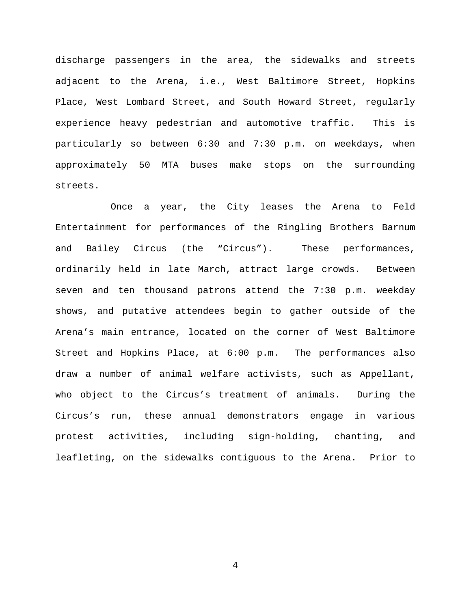discharge passengers in the area, the sidewalks and streets adjacent to the Arena, i.e., West Baltimore Street, Hopkins Place, West Lombard Street, and South Howard Street, regularly experience heavy pedestrian and automotive traffic. This is particularly so between 6:30 and 7:30 p.m. on weekdays, when approximately 50 MTA buses make stops on the surrounding streets.

Once a year, the City leases the Arena to Feld Entertainment for performances of the Ringling Brothers Barnum and Bailey Circus (the "Circus"). These performances, ordinarily held in late March, attract large crowds. Between seven and ten thousand patrons attend the 7:30 p.m. weekday shows, and putative attendees begin to gather outside of the Arena's main entrance, located on the corner of West Baltimore Street and Hopkins Place, at 6:00 p.m. The performances also draw a number of animal welfare activists, such as Appellant, who object to the Circus's treatment of animals. During the Circus's run, these annual demonstrators engage in various protest activities, including sign-holding, chanting, and leafleting, on the sidewalks contiguous to the Arena. Prior to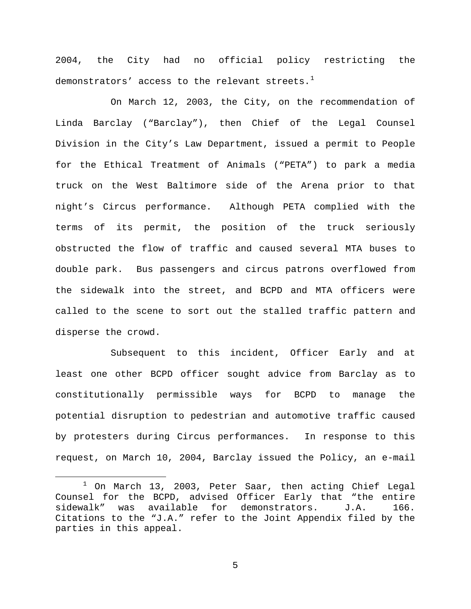2004, the City had no official policy restricting the demonstrators' access to the relevant streets. $^{\mathrm{1}}$  $^{\mathrm{1}}$  $^{\mathrm{1}}$ 

On March 12, 2003, the City, on the recommendation of Linda Barclay ("Barclay"), then Chief of the Legal Counsel Division in the City's Law Department, issued a permit to People for the Ethical Treatment of Animals ("PETA") to park a media truck on the West Baltimore side of the Arena prior to that night's Circus performance. Although PETA complied with the terms of its permit, the position of the truck seriously obstructed the flow of traffic and caused several MTA buses to double park. Bus passengers and circus patrons overflowed from the sidewalk into the street, and BCPD and MTA officers were called to the scene to sort out the stalled traffic pattern and disperse the crowd.

Subsequent to this incident, Officer Early and at least one other BCPD officer sought advice from Barclay as to constitutionally permissible ways for BCPD to manage the potential disruption to pedestrian and automotive traffic caused by protesters during Circus performances. In response to this request, on March 10, 2004, Barclay issued the Policy, an e-mail

<span id="page-4-0"></span> $1$  On March 13, 2003, Peter Saar, then acting Chief Legal Counsel for the BCPD, advised Officer Early that "the entire<br>sidewalk" was available for demonstrators. J.A. 166. sidewalk" was available for demonstrators. Citations to the "J.A." refer to the Joint Appendix filed by the parties in this appeal.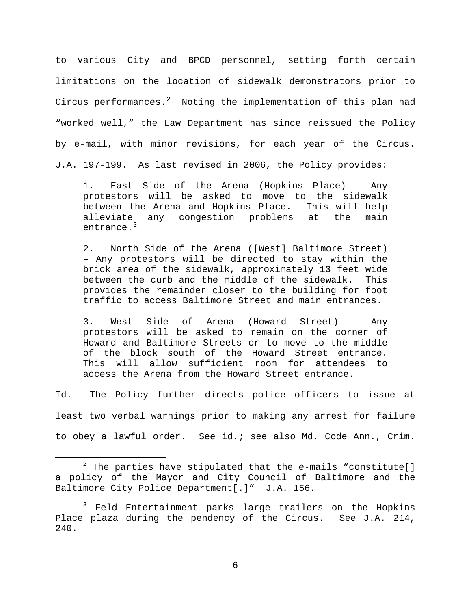to various City and BPCD personnel, setting forth certain limitations on the location of sidewalk demonstrators prior to Circus performances.<sup>[2](#page-5-0)</sup> Noting the implementation of this plan had "worked well," the Law Department has since reissued the Policy by e-mail, with minor revisions, for each year of the Circus. J.A. 197-199. As last revised in 2006, the Policy provides:

1. East Side of the Arena (Hopkins Place) – Any protestors will be asked to move to the sidewalk<br>between the Arena and Hopkins Place. This will help between the Arena and Hopkins Place. alleviate any congestion problems at the main entrance.<sup>[3](#page-5-1)</sup>

2. North Side of the Arena ([West] Baltimore Street) – Any protestors will be directed to stay within the brick area of the sidewalk, approximately 13 feet wide between the curb and the middle of the sidewalk. This provides the remainder closer to the building for foot traffic to access Baltimore Street and main entrances.

3. West Side of Arena (Howard Street) – Any protestors will be asked to remain on the corner of Howard and Baltimore Streets or to move to the middle of the block south of the Howard Street entrance. This will allow sufficient room for attendees to access the Arena from the Howard Street entrance.

Id. The Policy further directs police officers to issue at least two verbal warnings prior to making any arrest for failure to obey a lawful order. See id.; see also Md. Code Ann., Crim.

<span id="page-5-0"></span> $2$  The parties have stipulated that the e-mails "constitute[] a policy of the Mayor and City Council of Baltimore and the Baltimore City Police Department[.]" J.A. 156.

<span id="page-5-1"></span><sup>&</sup>lt;sup>3</sup> Feld Entertainment parks large trailers on the Hopkins Place plaza during the pendency of the Circus. See J.A. 214, 240.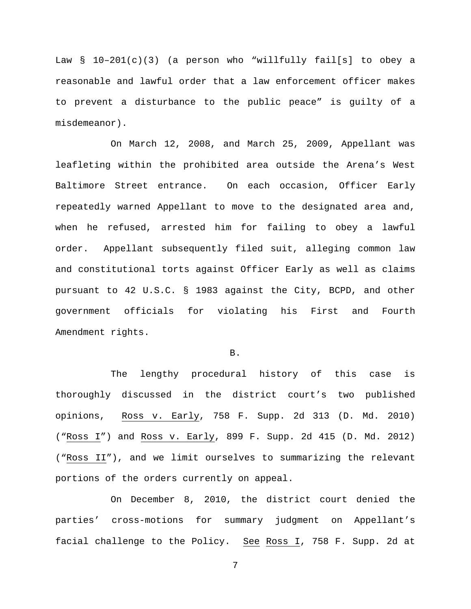Law § 10–201(c)(3) (a person who "willfully fail[s] to obey a reasonable and lawful order that a law enforcement officer makes to prevent a disturbance to the public peace" is guilty of a misdemeanor).

On March 12, 2008, and March 25, 2009, Appellant was leafleting within the prohibited area outside the Arena's West Baltimore Street entrance. On each occasion, Officer Early repeatedly warned Appellant to move to the designated area and, when he refused, arrested him for failing to obey a lawful order. Appellant subsequently filed suit, alleging common law and constitutional torts against Officer Early as well as claims pursuant to 42 U.S.C. § 1983 against the City, BCPD, and other government officials for violating his First and Fourth Amendment rights.

B.

The lengthy procedural history of this case is thoroughly discussed in the district court's two published opinions, Ross v. Early, 758 F. Supp. 2d 313 (D. Md. 2010) ("Ross I") and Ross v. Early, 899 F. Supp. 2d 415 (D. Md. 2012) ("Ross II"), and we limit ourselves to summarizing the relevant portions of the orders currently on appeal.

On December 8, 2010, the district court denied the parties' cross-motions for summary judgment on Appellant's facial challenge to the Policy. See Ross I, 758 F. Supp. 2d at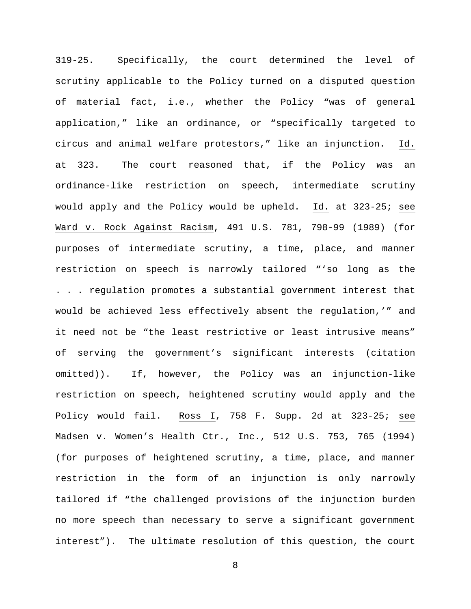319-25. Specifically, the court determined the level of scrutiny applicable to the Policy turned on a disputed question of material fact, i.e., whether the Policy "was of general application," like an ordinance, or "specifically targeted to circus and animal welfare protestors," like an injunction. Id. at 323. The court reasoned that, if the Policy was an ordinance-like restriction on speech, intermediate scrutiny would apply and the Policy would be upheld. Id. at 323-25; see Ward v. Rock Against Racism, 491 U.S. 781, 798-99 (1989) (for purposes of intermediate scrutiny, a time, place, and manner restriction on speech is narrowly tailored "'so long as the . . . regulation promotes a substantial government interest that would be achieved less effectively absent the regulation,'" and it need not be "the least restrictive or least intrusive means" of serving the government's significant interests (citation omitted)). If, however, the Policy was an injunction-like restriction on speech, heightened scrutiny would apply and the Policy would fail. Ross I, 758 F. Supp. 2d at 323-25; see Madsen v. Women's Health Ctr., Inc., 512 U.S. 753, 765 (1994) (for purposes of heightened scrutiny, a time, place, and manner restriction in the form of an injunction is only narrowly tailored if "the challenged provisions of the injunction burden no more speech than necessary to serve a significant government interest"). The ultimate resolution of this question, the court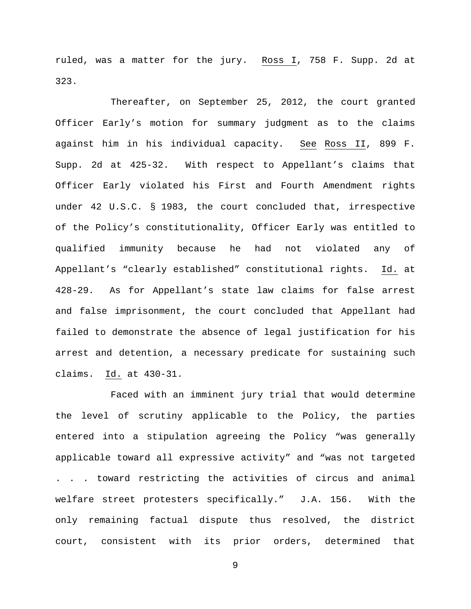ruled, was a matter for the jury. Ross I, 758 F. Supp. 2d at 323.

Thereafter, on September 25, 2012, the court granted Officer Early's motion for summary judgment as to the claims against him in his individual capacity. See Ross II, 899 F. Supp. 2d at 425-32. With respect to Appellant's claims that Officer Early violated his First and Fourth Amendment rights under 42 U.S.C. § 1983, the court concluded that, irrespective of the Policy's constitutionality, Officer Early was entitled to qualified immunity because he had not violated any of Appellant's "clearly established" constitutional rights. Id. at 428-29. As for Appellant's state law claims for false arrest and false imprisonment, the court concluded that Appellant had failed to demonstrate the absence of legal justification for his arrest and detention, a necessary predicate for sustaining such claims. Id. at 430-31.

Faced with an imminent jury trial that would determine the level of scrutiny applicable to the Policy, the parties entered into a stipulation agreeing the Policy "was generally applicable toward all expressive activity" and "was not targeted . . . toward restricting the activities of circus and animal welfare street protesters specifically." J.A. 156. With the only remaining factual dispute thus resolved, the district court, consistent with its prior orders, determined that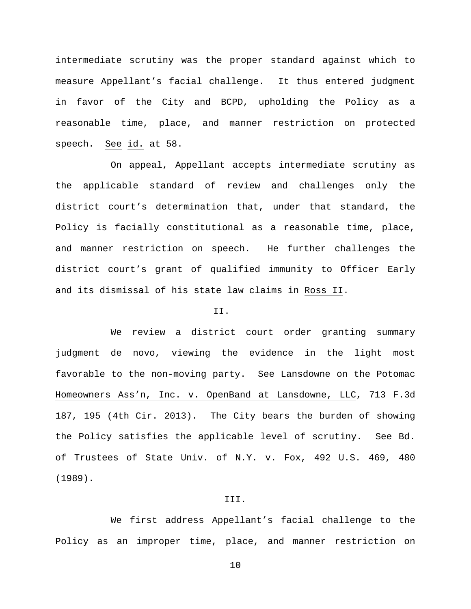intermediate scrutiny was the proper standard against which to measure Appellant's facial challenge. It thus entered judgment in favor of the City and BCPD, upholding the Policy as a reasonable time, place, and manner restriction on protected speech. See id. at 58.

On appeal, Appellant accepts intermediate scrutiny as the applicable standard of review and challenges only the district court's determination that, under that standard, the Policy is facially constitutional as a reasonable time, place, and manner restriction on speech. He further challenges the district court's grant of qualified immunity to Officer Early and its dismissal of his state law claims in Ross II.

# II.

We review a district court order granting summary judgment de novo, viewing the evidence in the light most favorable to the non-moving party. See Lansdowne on the Potomac Homeowners Ass'n, Inc. v. OpenBand at Lansdowne, LLC, 713 F.3d 187, 195 (4th Cir. 2013). The City bears the burden of showing the Policy satisfies the applicable level of scrutiny. See Bd. of Trustees of State Univ. of N.Y. v. Fox, 492 U.S. 469, 480 (1989).

## III.

We first address Appellant's facial challenge to the Policy as an improper time, place, and manner restriction on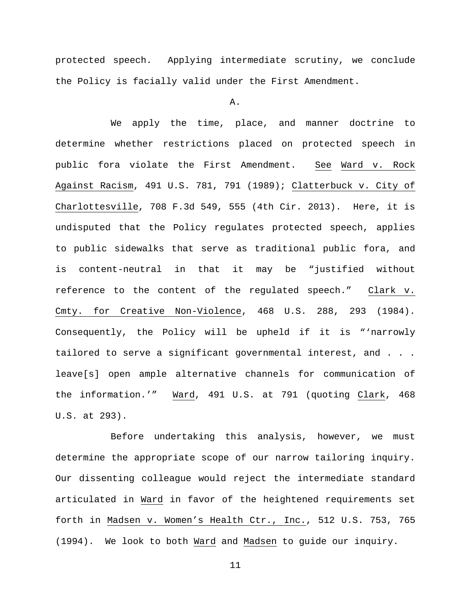protected speech. Applying intermediate scrutiny, we conclude the Policy is facially valid under the First Amendment.

A.

We apply the time, place, and manner doctrine to determine whether restrictions placed on protected speech in public fora violate the First Amendment. See Ward v. Rock Against Racism, 491 U.S. 781, 791 (1989); Clatterbuck v. City of Charlottesville, 708 F.3d 549, 555 (4th Cir. 2013). Here, it is undisputed that the Policy regulates protected speech, applies to public sidewalks that serve as traditional public fora, and is content-neutral in that it may be "justified without reference to the content of the regulated speech." Clark v. Cmty. for Creative Non-Violence, 468 U.S. 288, 293 (1984). Consequently, the Policy will be upheld if it is "'narrowly tailored to serve a significant governmental interest, and . . . leave[s] open ample alternative channels for communication of the information.'" Ward, 491 U.S. at 791 (quoting Clark, 468 U.S. at 293).

Before undertaking this analysis, however, we must determine the appropriate scope of our narrow tailoring inquiry. Our dissenting colleague would reject the intermediate standard articulated in Ward in favor of the heightened requirements set forth in Madsen v. Women's Health Ctr., Inc., 512 U.S. 753, 765 (1994). We look to both Ward and Madsen to guide our inquiry.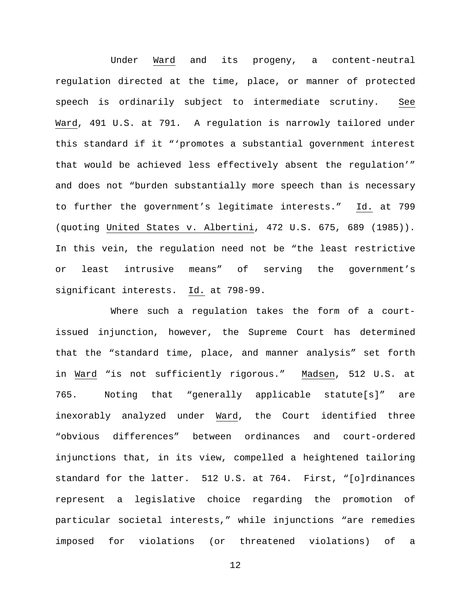Under Ward and its progeny, a content-neutral regulation directed at the time, place, or manner of protected speech is ordinarily subject to intermediate scrutiny. See Ward, 491 U.S. at 791. A regulation is narrowly tailored under this standard if it "'promotes a substantial government interest that would be achieved less effectively absent the regulation'" and does not "burden substantially more speech than is necessary to further the government's legitimate interests." Id. at 799 (quoting United States v. Albertini, 472 U.S. 675, 689 (1985)). In this vein, the regulation need not be "the least restrictive or least intrusive means" of serving the government's significant interests. Id. at 798-99.

Where such a regulation takes the form of a courtissued injunction, however, the Supreme Court has determined that the "standard time, place, and manner analysis" set forth in Ward "is not sufficiently rigorous." Madsen, 512 U.S. at 765. Noting that "generally applicable statute[s]" are inexorably analyzed under Ward, the Court identified three "obvious differences" between ordinances and court-ordered injunctions that, in its view, compelled a heightened tailoring standard for the latter. 512 U.S. at 764. First, "[o]rdinances represent a legislative choice regarding the promotion of particular societal interests," while injunctions "are remedies imposed for violations (or threatened violations) of a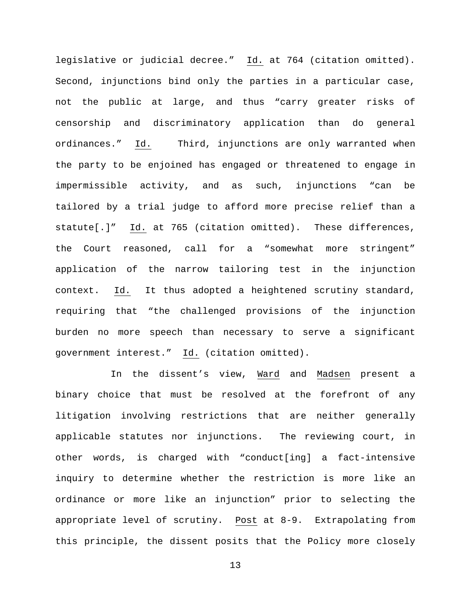legislative or judicial decree." Id. at 764 (citation omitted). Second, injunctions bind only the parties in a particular case, not the public at large, and thus "carry greater risks of censorship and discriminatory application than do general ordinances." Id. Third, injunctions are only warranted when the party to be enjoined has engaged or threatened to engage in impermissible activity, and as such, injunctions "can be tailored by a trial judge to afford more precise relief than a statute[.]" Id. at 765 (citation omitted). These differences, the Court reasoned, call for a "somewhat more stringent" application of the narrow tailoring test in the injunction context. Id. It thus adopted a heightened scrutiny standard, requiring that "the challenged provisions of the injunction burden no more speech than necessary to serve a significant government interest." Id. (citation omitted).

In the dissent's view, Ward and Madsen present a binary choice that must be resolved at the forefront of any litigation involving restrictions that are neither generally applicable statutes nor injunctions. The reviewing court, in other words, is charged with "conduct[ing] a fact-intensive inquiry to determine whether the restriction is more like an ordinance or more like an injunction" prior to selecting the appropriate level of scrutiny. Post at 8-9. Extrapolating from this principle, the dissent posits that the Policy more closely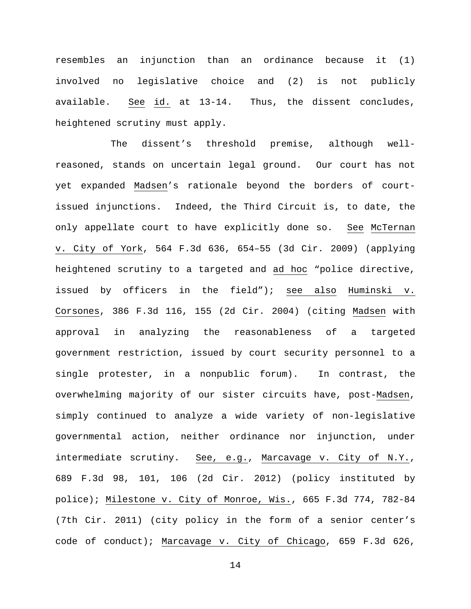resembles an injunction than an ordinance because it (1) involved no legislative choice and (2) is not publicly available. See id. at 13-14. Thus, the dissent concludes, heightened scrutiny must apply.

The dissent's threshold premise, although wellreasoned, stands on uncertain legal ground. Our court has not yet expanded Madsen's rationale beyond the borders of courtissued injunctions. Indeed, the Third Circuit is, to date, the only appellate court to have explicitly done so. See McTernan v. City of York, 564 F.3d 636, 654–55 (3d Cir. 2009) (applying heightened scrutiny to a targeted and ad hoc "police directive, issued by officers in the field"); see also Huminski v. Corsones, 386 F.3d 116, 155 (2d Cir. 2004) (citing Madsen with approval in analyzing the reasonableness of a targeted government restriction, issued by court security personnel to a single protester, in a nonpublic forum). In contrast, the overwhelming majority of our sister circuits have, post-Madsen, simply continued to analyze a wide variety of non-legislative governmental action, neither ordinance nor injunction, under intermediate scrutiny. See, e.g., Marcavage v. City of N.Y., 689 F.3d 98, 101, 106 (2d Cir. 2012) (policy instituted by police); Milestone v. City of Monroe, Wis., 665 F.3d 774, 782-84 (7th Cir. 2011) (city policy in the form of a senior center's code of conduct); Marcavage v. City of Chicago, 659 F.3d 626,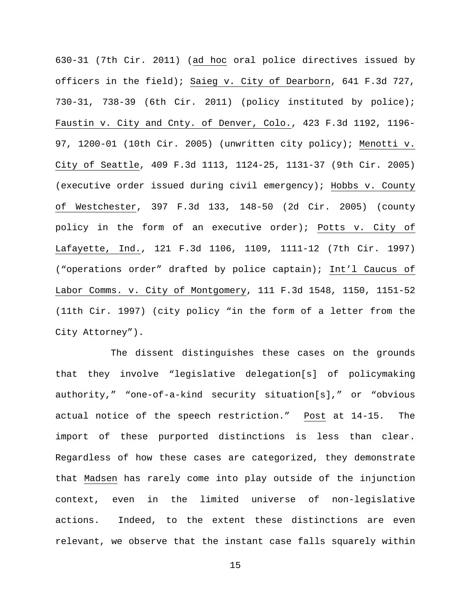630-31 (7th Cir. 2011) (ad hoc oral police directives issued by officers in the field); Saieg v. City of Dearborn, 641 F.3d 727, 730-31, 738-39 (6th Cir. 2011) (policy instituted by police); Faustin v. City and Cnty. of Denver, Colo., 423 F.3d 1192, 1196- 97, 1200-01 (10th Cir. 2005) (unwritten city policy); Menotti v. City of Seattle, 409 F.3d 1113, 1124-25, 1131-37 (9th Cir. 2005) (executive order issued during civil emergency); Hobbs v. County of Westchester, 397 F.3d 133, 148-50 (2d Cir. 2005) (county policy in the form of an executive order); Potts v. City of Lafayette, Ind., 121 F.3d 1106, 1109, 1111-12 (7th Cir. 1997) ("operations order" drafted by police captain); Int'l Caucus of Labor Comms. v. City of Montgomery, 111 F.3d 1548, 1150, 1151-52 (11th Cir. 1997) (city policy "in the form of a letter from the City Attorney").

The dissent distinguishes these cases on the grounds that they involve "legislative delegation[s] of policymaking authority," "one-of-a-kind security situation[s]," or "obvious actual notice of the speech restriction." Post at 14-15. The import of these purported distinctions is less than clear. Regardless of how these cases are categorized, they demonstrate that Madsen has rarely come into play outside of the injunction context, even in the limited universe of non-legislative actions. Indeed, to the extent these distinctions are even relevant, we observe that the instant case falls squarely within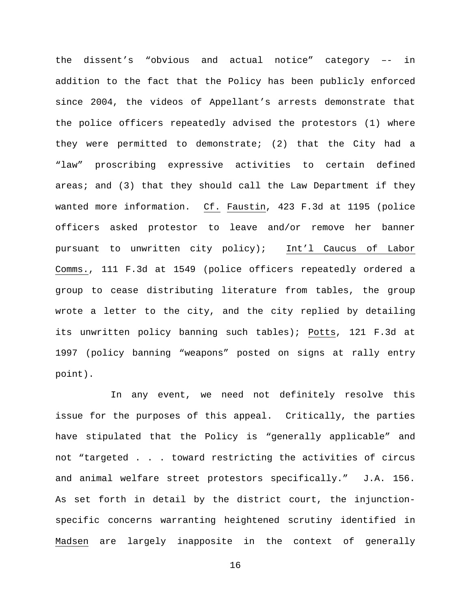the dissent's "obvious and actual notice" category –- in addition to the fact that the Policy has been publicly enforced since 2004, the videos of Appellant's arrests demonstrate that the police officers repeatedly advised the protestors (1) where they were permitted to demonstrate; (2) that the City had a "law" proscribing expressive activities to certain defined areas; and (3) that they should call the Law Department if they wanted more information. Cf. Faustin, 423 F.3d at 1195 (police officers asked protestor to leave and/or remove her banner pursuant to unwritten city policy); Int'l Caucus of Labor Comms., 111 F.3d at 1549 (police officers repeatedly ordered a group to cease distributing literature from tables, the group wrote a letter to the city, and the city replied by detailing its unwritten policy banning such tables); Potts, 121 F.3d at 1997 (policy banning "weapons" posted on signs at rally entry point).

In any event, we need not definitely resolve this issue for the purposes of this appeal. Critically, the parties have stipulated that the Policy is "generally applicable" and not "targeted . . . toward restricting the activities of circus and animal welfare street protestors specifically." J.A. 156. As set forth in detail by the district court, the injunctionspecific concerns warranting heightened scrutiny identified in Madsen are largely inapposite in the context of generally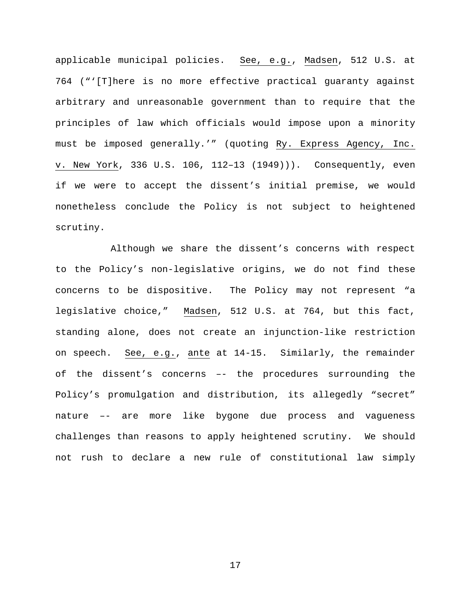applicable municipal policies. See, e.g., Madsen, 512 U.S. at 764 ("'[T]here is no more effective practical guaranty against arbitrary and unreasonable government than to require that the principles of law which officials would impose upon a minority must be imposed generally.'" (quoting Ry. Express Agency, Inc. v. New York, 336 U.S. 106, 112–13 (1949))). Consequently, even if we were to accept the dissent's initial premise, we would nonetheless conclude the Policy is not subject to heightened scrutiny.

Although we share the dissent's concerns with respect to the Policy's non-legislative origins, we do not find these concerns to be dispositive. The Policy may not represent "a legislative choice," Madsen, 512 U.S. at 764, but this fact, standing alone, does not create an injunction-like restriction on speech. See, e.g., ante at 14-15. Similarly, the remainder of the dissent's concerns –- the procedures surrounding the Policy's promulgation and distribution, its allegedly "secret" nature –- are more like bygone due process and vagueness challenges than reasons to apply heightened scrutiny. We should not rush to declare a new rule of constitutional law simply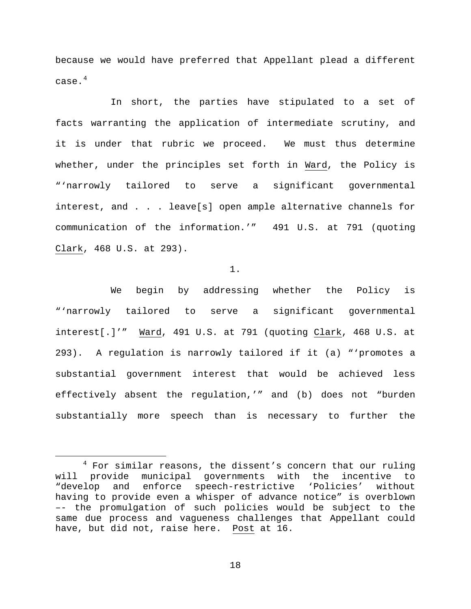because we would have preferred that Appellant plead a different case. $^4\,$  $^4\,$  $^4\,$ 

In short, the parties have stipulated to a set of facts warranting the application of intermediate scrutiny, and it is under that rubric we proceed. We must thus determine whether, under the principles set forth in Ward, the Policy is "'narrowly tailored to serve a significant governmental interest, and . . . leave[s] open ample alternative channels for communication of the information.'" 491 U.S. at 791 (quoting Clark, 468 U.S. at 293).

1.

We begin by addressing whether the Policy is "'narrowly tailored to serve a significant governmental interest[.]'" Ward, 491 U.S. at 791 (quoting Clark, 468 U.S. at 293). A regulation is narrowly tailored if it (a) "'promotes a substantial government interest that would be achieved less effectively absent the regulation,'" and (b) does not "burden substantially more speech than is necessary to further the

<span id="page-17-0"></span> $4$  For similar reasons, the dissent's concern that our ruling will provide municipal governments with the incentive to "develop and enforce speech-restrictive 'Policies' without having to provide even a whisper of advance notice" is overblown –- the promulgation of such policies would be subject to the same due process and vagueness challenges that Appellant could have, but did not, raise here. Post at 16.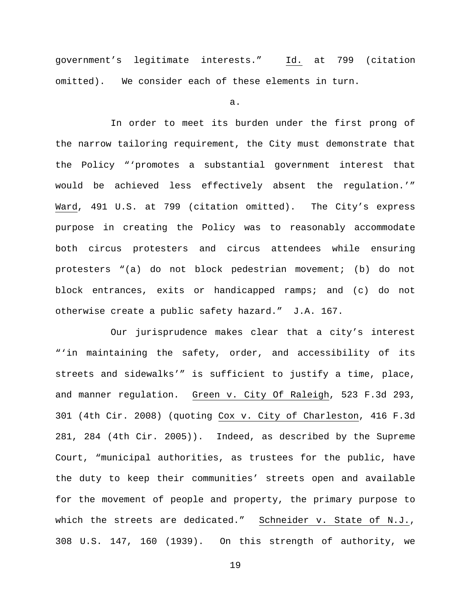government's legitimate interests." Id. at 799 (citation omitted). We consider each of these elements in turn.

a.

In order to meet its burden under the first prong of the narrow tailoring requirement, the City must demonstrate that the Policy "'promotes a substantial government interest that would be achieved less effectively absent the regulation.'" Ward, 491 U.S. at 799 (citation omitted). The City's express purpose in creating the Policy was to reasonably accommodate both circus protesters and circus attendees while ensuring protesters "(a) do not block pedestrian movement; (b) do not block entrances, exits or handicapped ramps; and (c) do not otherwise create a public safety hazard." J.A. 167.

Our jurisprudence makes clear that a city's interest "'in maintaining the safety, order, and accessibility of its streets and sidewalks'" is sufficient to justify a time, place, and manner regulation. Green v. City Of Raleigh, 523 F.3d 293, 301 (4th Cir. 2008) (quoting Cox v. City of Charleston, 416 F.3d 281, 284 (4th Cir. 2005)). Indeed, as described by the Supreme Court, "municipal authorities, as trustees for the public, have the duty to keep their communities' streets open and available for the movement of people and property, the primary purpose to which the streets are dedicated." Schneider v. State of N.J., 308 U.S. 147, 160 (1939). On this strength of authority, we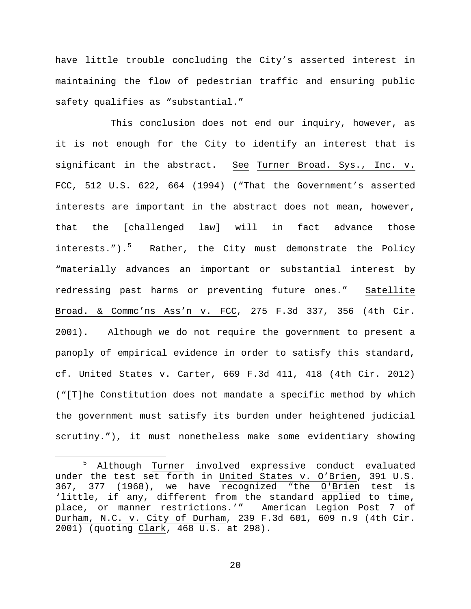have little trouble concluding the City's asserted interest in maintaining the flow of pedestrian traffic and ensuring public safety qualifies as "substantial."

This conclusion does not end our inquiry, however, as it is not enough for the City to identify an interest that is significant in the abstract. See Turner Broad. Sys., Inc. v. FCC, 512 U.S. 622, 664 (1994) ("That the Government's asserted interests are important in the abstract does not mean, however, that the [challenged law] will in fact advance those interests.").<sup>[5](#page-19-0)</sup> Rather, the City must demonstrate the Policy "materially advances an important or substantial interest by redressing past harms or preventing future ones." Satellite Broad. & Commc'ns Ass'n v. FCC, 275 F.3d 337, 356 (4th Cir. 2001). Although we do not require the government to present a panoply of empirical evidence in order to satisfy this standard, cf. United States v. Carter, 669 F.3d 411, 418 (4th Cir. 2012) ("[T]he Constitution does not mandate a specific method by which the government must satisfy its burden under heightened judicial scrutiny."), it must nonetheless make some evidentiary showing

<span id="page-19-0"></span><sup>5</sup> Although Turner involved expressive conduct evaluated under the test set forth in United States v. O'Brien, 391 U.S. 367, 377 (1968), we have recognized "the O'Brien test is 'little, if any, different from the standard applied to time, place, or manner restrictions.'" American Legion Post 7 of Durham, N.C. v. City of Durham, 239 F.3d 601, 609 n.9 (4th Cir. 2001) (quoting Clark, 468 U.S. at 298).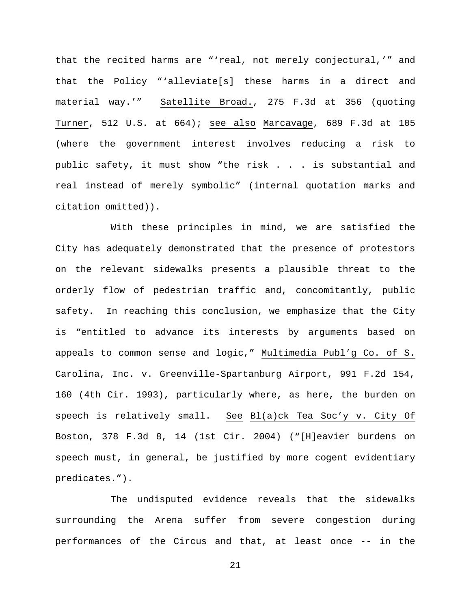that the recited harms are "'real, not merely conjectural,'" and that the Policy "'alleviate[s] these harms in a direct and material way.'" Satellite Broad., 275 F.3d at 356 (quoting Turner, 512 U.S. at 664); see also Marcavage, 689 F.3d at 105 (where the government interest involves reducing a risk to public safety, it must show "the risk . . . is substantial and real instead of merely symbolic" (internal quotation marks and citation omitted)).

With these principles in mind, we are satisfied the City has adequately demonstrated that the presence of protestors on the relevant sidewalks presents a plausible threat to the orderly flow of pedestrian traffic and, concomitantly, public safety. In reaching this conclusion, we emphasize that the City is "entitled to advance its interests by arguments based on appeals to common sense and logic," Multimedia Publ'g Co. of S. Carolina, Inc. v. Greenville-Spartanburg Airport, 991 F.2d 154, 160 (4th Cir. 1993), particularly where, as here, the burden on speech is relatively small. See Bl(a)ck Tea Soc'y v. City Of Boston, 378 F.3d 8, 14 (1st Cir. 2004) ("[H]eavier burdens on speech must, in general, be justified by more cogent evidentiary predicates.").

The undisputed evidence reveals that the sidewalks surrounding the Arena suffer from severe congestion during performances of the Circus and that, at least once -- in the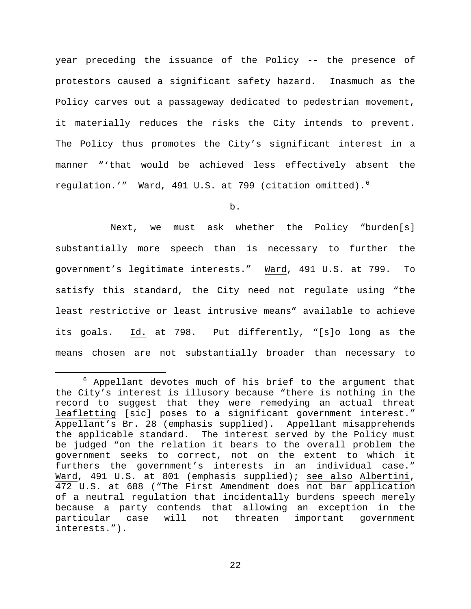year preceding the issuance of the Policy -- the presence of protestors caused a significant safety hazard. Inasmuch as the Policy carves out a passageway dedicated to pedestrian movement, it materially reduces the risks the City intends to prevent. The Policy thus promotes the City's significant interest in a manner "'that would be achieved less effectively absent the regulation.'" Ward, 491 U.S. at 799 (citation omitted).[6](#page-21-0)

b.

Next, we must ask whether the Policy "burden[s] substantially more speech than is necessary to further the government's legitimate interests." Ward, 491 U.S. at 799. To satisfy this standard, the City need not regulate using "the least restrictive or least intrusive means" available to achieve its goals. Id. at 798. Put differently, "[s]o long as the means chosen are not substantially broader than necessary to

<span id="page-21-0"></span> $6$  Appellant devotes much of his brief to the argument that the City's interest is illusory because "there is nothing in the record to suggest that they were remedying an actual threat leafletting [sic] poses to a significant government interest." Appellant's Br. 28 (emphasis supplied). Appellant misapprehends the applicable standard. The interest served by the Policy must be judged "on the relation it bears to the overall problem the government seeks to correct, not on the extent to which it furthers the government's interests in an individual case." Ward, 491 U.S. at 801 (emphasis supplied); see also Albertini, 472 U.S. at 688 ("The First Amendment does not bar application of a neutral regulation that incidentally burdens speech merely because a party contends that allowing an exception in the particular case will not threaten important government interests.").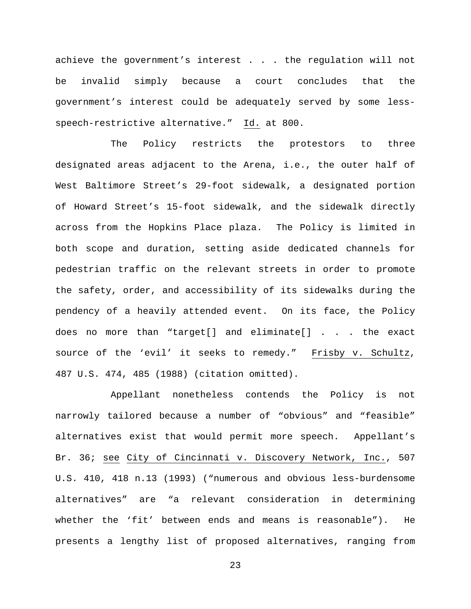achieve the government's interest . . . the regulation will not be invalid simply because a court concludes that the government's interest could be adequately served by some lessspeech-restrictive alternative." Id. at 800.

The Policy restricts the protestors to three designated areas adjacent to the Arena, i.e., the outer half of West Baltimore Street's 29-foot sidewalk, a designated portion of Howard Street's 15-foot sidewalk, and the sidewalk directly across from the Hopkins Place plaza. The Policy is limited in both scope and duration, setting aside dedicated channels for pedestrian traffic on the relevant streets in order to promote the safety, order, and accessibility of its sidewalks during the pendency of a heavily attended event. On its face, the Policy does no more than "target[] and eliminate[] . . . the exact source of the 'evil' it seeks to remedy." Frisby v. Schultz, 487 U.S. 474, 485 (1988) (citation omitted).

Appellant nonetheless contends the Policy is not narrowly tailored because a number of "obvious" and "feasible" alternatives exist that would permit more speech. Appellant's Br. 36; see City of Cincinnati v. Discovery Network, Inc., 507 U.S. 410, 418 n.13 (1993) ("numerous and obvious less-burdensome alternatives" are "a relevant consideration in determining whether the 'fit' between ends and means is reasonable"). He presents a lengthy list of proposed alternatives, ranging from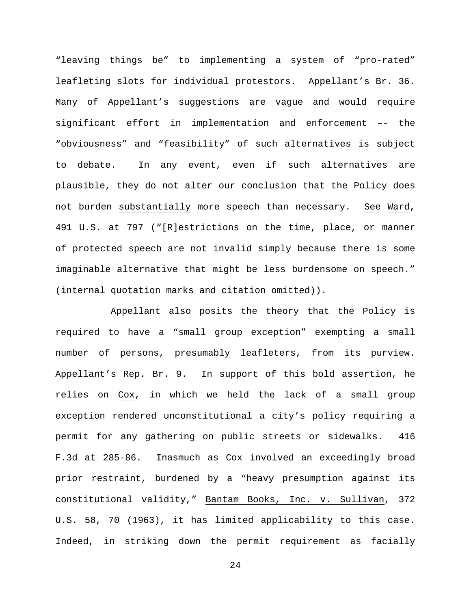"leaving things be" to implementing a system of "pro-rated" leafleting slots for individual protestors. Appellant's Br. 36. Many of Appellant's suggestions are vague and would require significant effort in implementation and enforcement –- the "obviousness" and "feasibility" of such alternatives is subject to debate. In any event, even if such alternatives are plausible, they do not alter our conclusion that the Policy does not burden substantially more speech than necessary. See Ward, 491 U.S. at 797 ("[R]estrictions on the time, place, or manner of protected speech are not invalid simply because there is some imaginable alternative that might be less burdensome on speech." (internal quotation marks and citation omitted)).

Appellant also posits the theory that the Policy is required to have a "small group exception" exempting a small number of persons, presumably leafleters, from its purview. Appellant's Rep. Br. 9. In support of this bold assertion, he relies on Cox, in which we held the lack of a small group exception rendered unconstitutional a city's policy requiring a permit for any gathering on public streets or sidewalks. 416 F.3d at 285-86. Inasmuch as Cox involved an exceedingly broad prior restraint, burdened by a "heavy presumption against its constitutional validity," Bantam Books, Inc. v. Sullivan, 372 U.S. 58, 70 (1963), it has limited applicability to this case. Indeed, in striking down the permit requirement as facially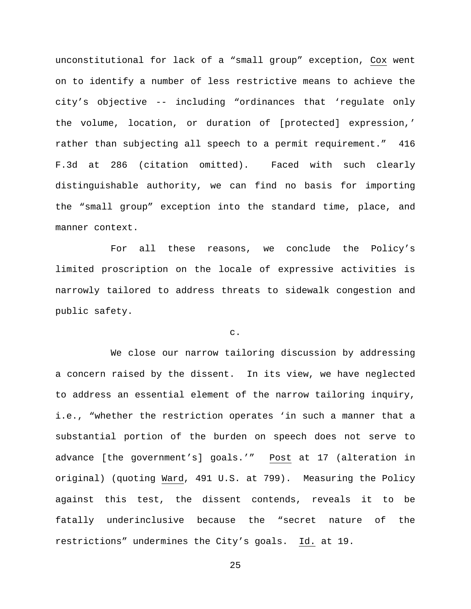unconstitutional for lack of a "small group" exception, Cox went on to identify a number of less restrictive means to achieve the city's objective -- including "ordinances that 'regulate only the volume, location, or duration of [protected] expression,' rather than subjecting all speech to a permit requirement." 416 F.3d at 286 (citation omitted). Faced with such clearly distinguishable authority, we can find no basis for importing the "small group" exception into the standard time, place, and manner context.

For all these reasons, we conclude the Policy's limited proscription on the locale of expressive activities is narrowly tailored to address threats to sidewalk congestion and public safety.

#### c.

We close our narrow tailoring discussion by addressing a concern raised by the dissent. In its view, we have neglected to address an essential element of the narrow tailoring inquiry, i.e., "whether the restriction operates 'in such a manner that a substantial portion of the burden on speech does not serve to advance [the government's] goals.'" Post at 17 (alteration in original) (quoting Ward, 491 U.S. at 799). Measuring the Policy against this test, the dissent contends, reveals it to be fatally underinclusive because the "secret nature of the restrictions" undermines the City's goals. Id. at 19.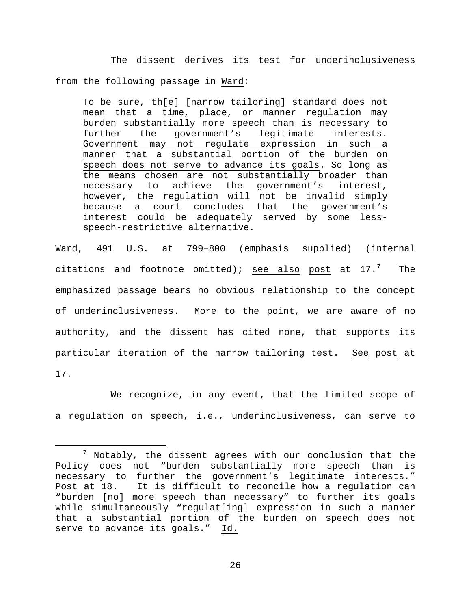The dissent derives its test for underinclusiveness from the following passage in Ward:

To be sure, th[e] [narrow tailoring] standard does not mean that a time, place, or manner regulation may burden substantially more speech than is necessary to further the government's legitimate interests. Government may not regulate expression in such a manner that a substantial portion of the burden on speech does not serve to advance its goals. So long as the means chosen are not substantially broader than<br>necessary to achieve the government's interest, government's interest, however, the regulation will not be invalid simply because a court concludes that the government's interest could be adequately served by some lessspeech-restrictive alternative.

Ward, 491 U.S. at 799–800 (emphasis supplied) (internal citations and footnote omitted); see also post at  $17.^7$  $17.^7$  $17.^7$  The emphasized passage bears no obvious relationship to the concept of underinclusiveness. More to the point, we are aware of no authority, and the dissent has cited none, that supports its particular iteration of the narrow tailoring test. See post at 17.

We recognize, in any event, that the limited scope of a regulation on speech, i.e., underinclusiveness, can serve to

<span id="page-25-0"></span> $7$  Notably, the dissent agrees with our conclusion that the Policy does not "burden substantially more speech than is necessary to further the government's legitimate interests." Post at 18. It is difficult to reconcile how a regulation can "burden [no] more speech than necessary" to further its goals while simultaneously "regulat[ing] expression in such a manner that a substantial portion of the burden on speech does not serve to advance its goals." Id.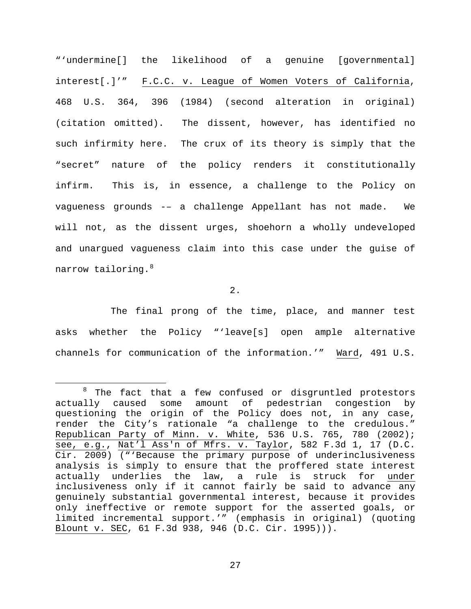"'undermine[] the likelihood of a genuine [governmental] interest[.]'" F.C.C. v. League of Women Voters of California, 468 U.S. 364, 396 (1984) (second alteration in original) (citation omitted). The dissent, however, has identified no such infirmity here. The crux of its theory is simply that the "secret" nature of the policy renders it constitutionally infirm. This is, in essence, a challenge to the Policy on vagueness grounds -– a challenge Appellant has not made. We will not, as the dissent urges, shoehorn a wholly undeveloped and unargued vagueness claim into this case under the guise of narrow tailoring.<sup>[8](#page-26-0)</sup>

2.

The final prong of the time, place, and manner test asks whether the Policy "'leave[s] open ample alternative channels for communication of the information.'" Ward, 491 U.S.

<span id="page-26-0"></span> $8$  The fact that a few confused or disgruntled protestors actually caused some amount of pedestrian congestion by questioning the origin of the Policy does not, in any case, render the City's rationale "a challenge to the credulous." Republican Party of Minn. v. White, 536 U.S. 765, 780 (2002); see, e.g., Nat'l Ass'n of Mfrs. v. Taylor, 582 F.3d 1, 17 (D.C. Cir. 2009) ("'Because the primary purpose of underinclusiveness analysis is simply to ensure that the proffered state interest actually underlies the law, a rule is struck for under inclusiveness only if it cannot fairly be said to advance any genuinely substantial governmental interest, because it provides only ineffective or remote support for the asserted goals, or limited incremental support.'" (emphasis in original) (quoting Blount v. SEC, 61 F.3d 938, 946 (D.C. Cir. 1995))).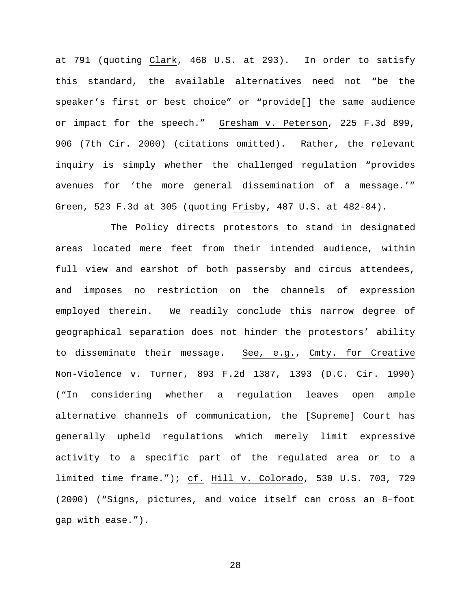at 791 (quoting Clark, 468 U.S. at 293). In order to satisfy this standard, the available alternatives need not "be the speaker's first or best choice" or "provide[] the same audience or impact for the speech." Gresham v. Peterson, 225 F.3d 899, 906 (7th Cir. 2000) (citations omitted). Rather, the relevant inquiry is simply whether the challenged regulation "provides avenues for 'the more general dissemination of a message.'" Green, 523 F.3d at 305 (quoting Frisby, 487 U.S. at 482-84).

The Policy directs protestors to stand in designated areas located mere feet from their intended audience, within full view and earshot of both passersby and circus attendees, and imposes no restriction on the channels of expression employed therein. We readily conclude this narrow degree of geographical separation does not hinder the protestors' ability to disseminate their message. See, e.g., Cmty. for Creative Non-Violence v. Turner, 893 F.2d 1387, 1393 (D.C. Cir. 1990) ("In considering whether a regulation leaves open ample alternative channels of communication, the [Supreme] Court has generally upheld regulations which merely limit expressive activity to a specific part of the regulated area or to a limited time frame."); cf. Hill v. Colorado, 530 U.S. 703, 729 (2000) ("Signs, pictures, and voice itself can cross an 8–foot gap with ease.").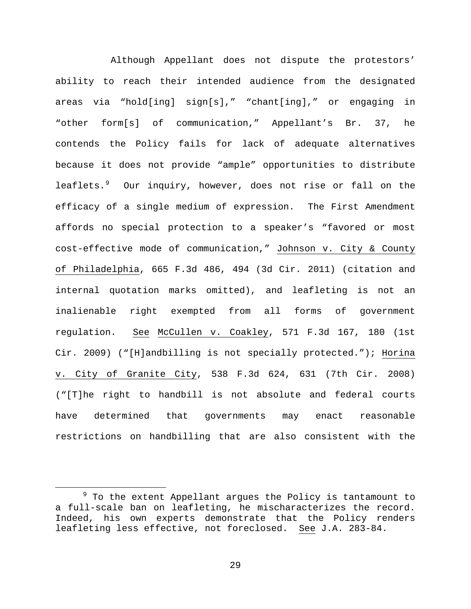Although Appellant does not dispute the protestors' ability to reach their intended audience from the designated areas via "hold[ing] sign[s]," "chant[ing]," or engaging in "other form[s] of communication," Appellant's Br. 37, he contends the Policy fails for lack of adequate alternatives because it does not provide "ample" opportunities to distribute leaflets.[9](#page-28-0) Our inquiry, however, does not rise or fall on the efficacy of a single medium of expression. The First Amendment affords no special protection to a speaker's "favored or most cost-effective mode of communication," Johnson v. City & County of Philadelphia, 665 F.3d 486, 494 (3d Cir. 2011) (citation and internal quotation marks omitted), and leafleting is not an inalienable right exempted from all forms of government regulation. See McCullen v. Coakley, 571 F.3d 167, 180 (1st Cir. 2009) ("[H]andbilling is not specially protected."); Horina v. City of Granite City, 538 F.3d 624, 631 (7th Cir. 2008) ("[T]he right to handbill is not absolute and federal courts have determined that governments may enact reasonable restrictions on handbilling that are also consistent with the

<span id="page-28-0"></span> $9$  To the extent Appellant argues the Policy is tantamount to a full-scale ban on leafleting, he mischaracterizes the record. Indeed, his own experts demonstrate that the Policy renders leafleting less effective, not foreclosed. See J.A. 283-84.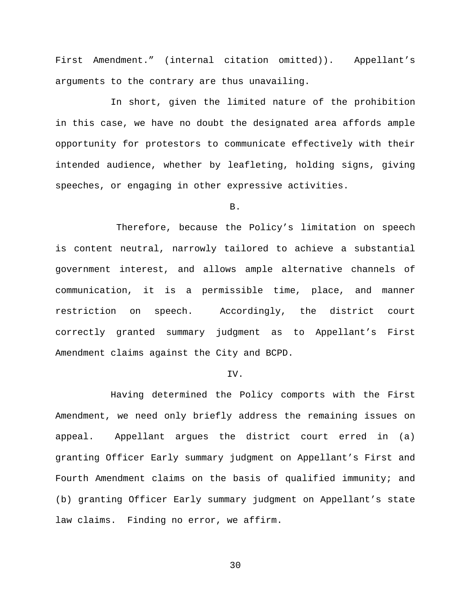First Amendment." (internal citation omitted)). Appellant's arguments to the contrary are thus unavailing.

In short, given the limited nature of the prohibition in this case, we have no doubt the designated area affords ample opportunity for protestors to communicate effectively with their intended audience, whether by leafleting, holding signs, giving speeches, or engaging in other expressive activities.

B.

Therefore, because the Policy's limitation on speech is content neutral, narrowly tailored to achieve a substantial government interest, and allows ample alternative channels of communication, it is a permissible time, place, and manner restriction on speech. Accordingly, the district court correctly granted summary judgment as to Appellant's First Amendment claims against the City and BCPD.

## IV.

Having determined the Policy comports with the First Amendment, we need only briefly address the remaining issues on appeal. Appellant argues the district court erred in (a) granting Officer Early summary judgment on Appellant's First and Fourth Amendment claims on the basis of qualified immunity; and (b) granting Officer Early summary judgment on Appellant's state law claims. Finding no error, we affirm.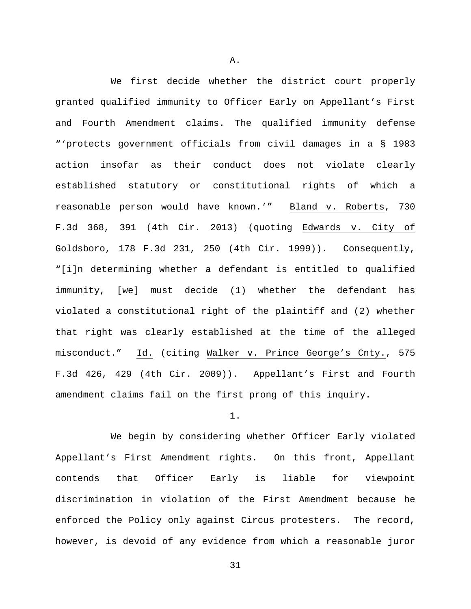We first decide whether the district court properly granted qualified immunity to Officer Early on Appellant's First and Fourth Amendment claims. The qualified immunity defense "'protects government officials from civil damages in a § 1983 action insofar as their conduct does not violate clearly established statutory or constitutional rights of which a reasonable person would have known.'" Bland v. Roberts, 730 F.3d 368, 391 (4th Cir. 2013) (quoting Edwards v. City of Goldsboro, 178 F.3d 231, 250 (4th Cir. 1999)). Consequently, "[i]n determining whether a defendant is entitled to qualified immunity, [we] must decide (1) whether the defendant has violated a constitutional right of the plaintiff and (2) whether that right was clearly established at the time of the alleged misconduct." Id. (citing Walker v. Prince George's Cnty., 575 F.3d 426, 429 (4th Cir. 2009)). Appellant's First and Fourth amendment claims fail on the first prong of this inquiry.

## 1.

We begin by considering whether Officer Early violated Appellant's First Amendment rights. On this front, Appellant contends that Officer Early is liable for viewpoint discrimination in violation of the First Amendment because he enforced the Policy only against Circus protesters. The record, however, is devoid of any evidence from which a reasonable juror

A.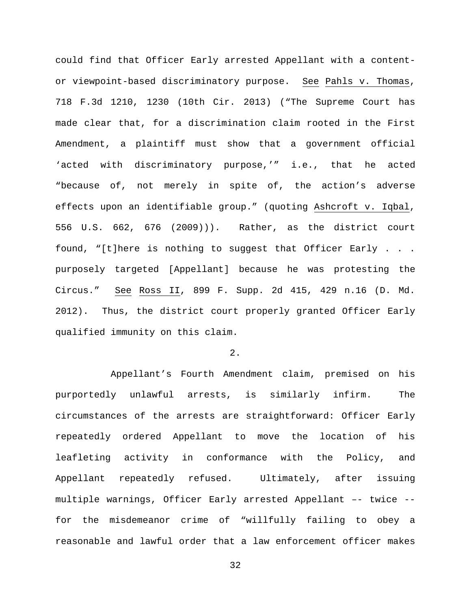could find that Officer Early arrested Appellant with a contentor viewpoint-based discriminatory purpose. See Pahls v. Thomas, 718 F.3d 1210, 1230 (10th Cir. 2013) ("The Supreme Court has made clear that, for a discrimination claim rooted in the First Amendment, a plaintiff must show that a government official 'acted with discriminatory purpose,'" i.e., that he acted "because of, not merely in spite of, the action's adverse effects upon an identifiable group." (quoting Ashcroft v. Iqbal, 556 U.S. 662, 676 (2009))). Rather, as the district court found, "[t]here is nothing to suggest that Officer Early . . . purposely targeted [Appellant] because he was protesting the Circus." See Ross II, 899 F. Supp. 2d 415, 429 n.16 (D. Md. 2012). Thus, the district court properly granted Officer Early qualified immunity on this claim.

## 2.

Appellant's Fourth Amendment claim, premised on his purportedly unlawful arrests, is similarly infirm. The circumstances of the arrests are straightforward: Officer Early repeatedly ordered Appellant to move the location of his leafleting activity in conformance with the Policy, and Appellant repeatedly refused. Ultimately, after issuing multiple warnings, Officer Early arrested Appellant –- twice - for the misdemeanor crime of "willfully failing to obey a reasonable and lawful order that a law enforcement officer makes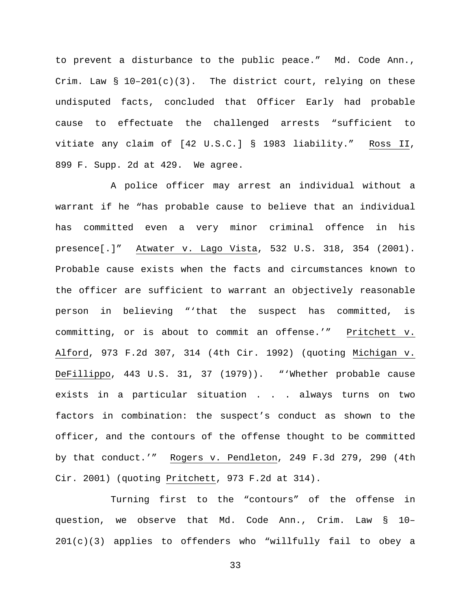to prevent a disturbance to the public peace." Md. Code Ann., Crim. Law  $\S$  10-201(c)(3). The district court, relying on these undisputed facts, concluded that Officer Early had probable cause to effectuate the challenged arrests "sufficient to vitiate any claim of [42 U.S.C.] § 1983 liability." Ross II, 899 F. Supp. 2d at 429. We agree.

A police officer may arrest an individual without a warrant if he "has probable cause to believe that an individual has committed even a very minor criminal offence in his presence[.]" Atwater v. Lago Vista, 532 U.S. 318, 354 (2001). Probable cause exists when the facts and circumstances known to the officer are sufficient to warrant an objectively reasonable person in believing "'that the suspect has committed, is committing, or is about to commit an offense.'" Pritchett v. Alford, 973 F.2d 307, 314 (4th Cir. 1992) (quoting Michigan v. DeFillippo, 443 U.S. 31, 37 (1979)). "'Whether probable cause exists in a particular situation . . . always turns on two factors in combination: the suspect's conduct as shown to the officer, and the contours of the offense thought to be committed by that conduct.'" Rogers v. Pendleton, 249 F.3d 279, 290 (4th Cir. 2001) (quoting Pritchett, 973 F.2d at 314).

Turning first to the "contours" of the offense in question, we observe that Md. Code Ann., Crim. Law § 10– 201(c)(3) applies to offenders who "willfully fail to obey a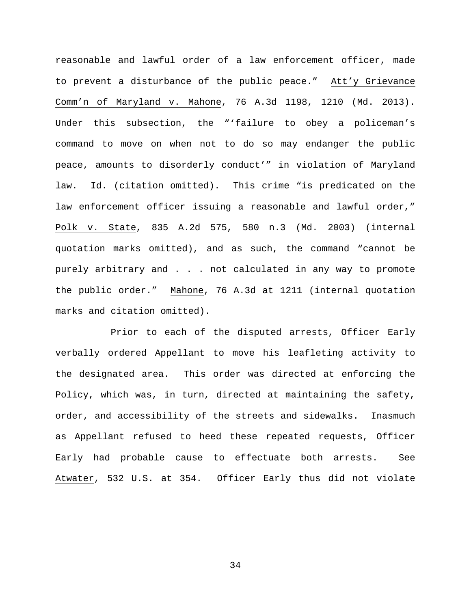reasonable and lawful order of a law enforcement officer, made to prevent a disturbance of the public peace." Att'y Grievance Comm'n of Maryland v. Mahone, 76 A.3d 1198, 1210 (Md. 2013). Under this subsection, the "'failure to obey a policeman's command to move on when not to do so may endanger the public peace, amounts to disorderly conduct'" in violation of Maryland law. Id. (citation omitted). This crime "is predicated on the law enforcement officer issuing a reasonable and lawful order," Polk v. State, 835 A.2d 575, 580 n.3 (Md. 2003) (internal quotation marks omitted), and as such, the command "cannot be purely arbitrary and . . . not calculated in any way to promote the public order." Mahone, 76 A.3d at 1211 (internal quotation marks and citation omitted).

Prior to each of the disputed arrests, Officer Early verbally ordered Appellant to move his leafleting activity to the designated area. This order was directed at enforcing the Policy, which was, in turn, directed at maintaining the safety, order, and accessibility of the streets and sidewalks. Inasmuch as Appellant refused to heed these repeated requests, Officer Early had probable cause to effectuate both arrests. See Atwater, 532 U.S. at 354. Officer Early thus did not violate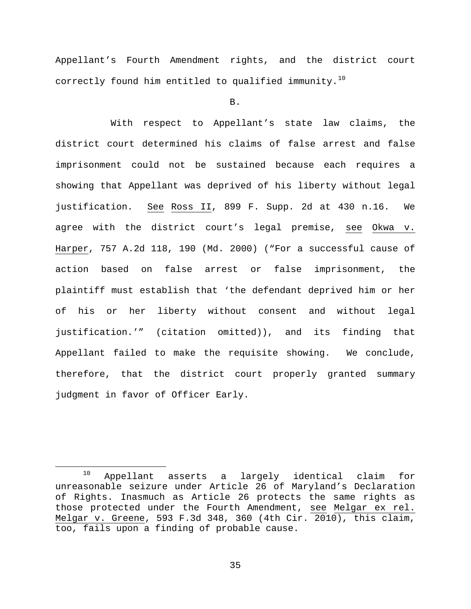Appellant's Fourth Amendment rights, and the district court correctly found him entitled to qualified immunity.<sup>[10](#page-34-0)</sup>

B.

With respect to Appellant's state law claims, the district court determined his claims of false arrest and false imprisonment could not be sustained because each requires a showing that Appellant was deprived of his liberty without legal justification. See Ross II, 899 F. Supp. 2d at 430 n.16. We agree with the district court's legal premise, see Okwa v. Harper, 757 A.2d 118, 190 (Md. 2000) ("For a successful cause of action based on false arrest or false imprisonment, the plaintiff must establish that 'the defendant deprived him or her of his or her liberty without consent and without legal justification.'" (citation omitted)), and its finding that Appellant failed to make the requisite showing. We conclude, therefore, that the district court properly granted summary judgment in favor of Officer Early.

<span id="page-34-0"></span> <sup>10</sup> Appellant asserts a largely identical claim for unreasonable seizure under Article 26 of Maryland's Declaration of Rights. Inasmuch as Article 26 protects the same rights as those protected under the Fourth Amendment, see Melgar ex rel. Melgar v. Greene, 593 F.3d 348, 360 (4th Cir. 2010), this claim, too, fails upon a finding of probable cause.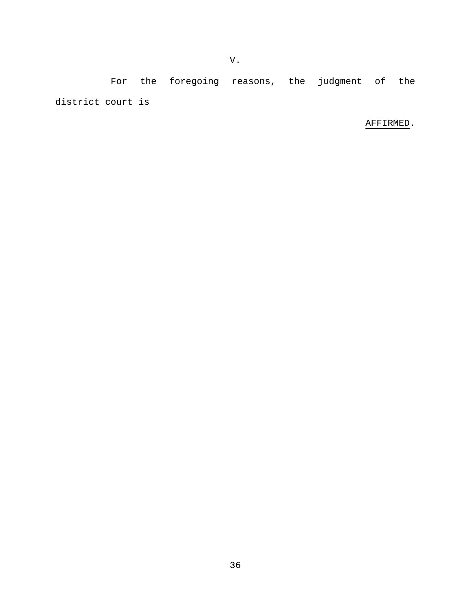For the foregoing reasons, the judgment of the district court is

V.

# AFFIRMED.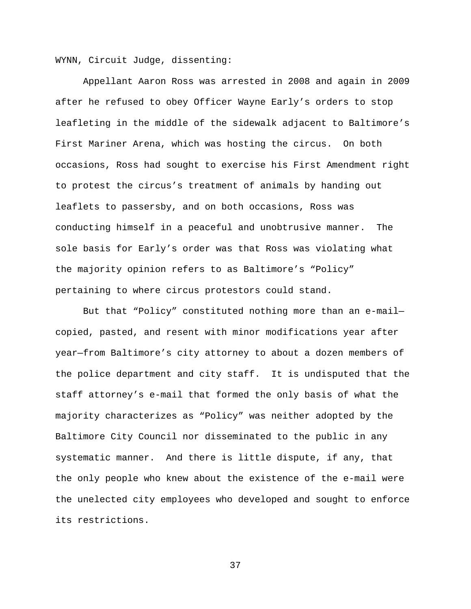WYNN, Circuit Judge, dissenting:

Appellant Aaron Ross was arrested in 2008 and again in 2009 after he refused to obey Officer Wayne Early's orders to stop leafleting in the middle of the sidewalk adjacent to Baltimore's First Mariner Arena, which was hosting the circus. On both occasions, Ross had sought to exercise his First Amendment right to protest the circus's treatment of animals by handing out leaflets to passersby, and on both occasions, Ross was conducting himself in a peaceful and unobtrusive manner. The sole basis for Early's order was that Ross was violating what the majority opinion refers to as Baltimore's "Policy" pertaining to where circus protestors could stand.

But that "Policy" constituted nothing more than an e-mail copied, pasted, and resent with minor modifications year after year—from Baltimore's city attorney to about a dozen members of the police department and city staff. It is undisputed that the staff attorney's e-mail that formed the only basis of what the majority characterizes as "Policy" was neither adopted by the Baltimore City Council nor disseminated to the public in any systematic manner. And there is little dispute, if any, that the only people who knew about the existence of the e-mail were the unelected city employees who developed and sought to enforce its restrictions.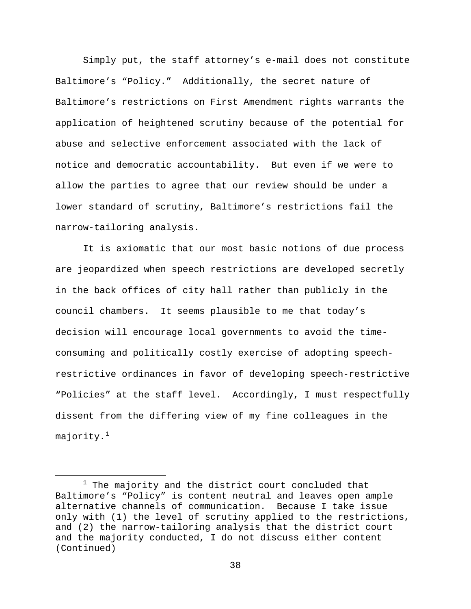Simply put, the staff attorney's e-mail does not constitute Baltimore's "Policy." Additionally, the secret nature of Baltimore's restrictions on First Amendment rights warrants the application of heightened scrutiny because of the potential for abuse and selective enforcement associated with the lack of notice and democratic accountability. But even if we were to allow the parties to agree that our review should be under a lower standard of scrutiny, Baltimore's restrictions fail the narrow-tailoring analysis.

It is axiomatic that our most basic notions of due process are jeopardized when speech restrictions are developed secretly in the back offices of city hall rather than publicly in the council chambers. It seems plausible to me that today's decision will encourage local governments to avoid the timeconsuming and politically costly exercise of adopting speechrestrictive ordinances in favor of developing speech-restrictive "Policies" at the staff level. Accordingly, I must respectfully dissent from the differing view of my fine colleagues in the majority. $^{\rm 1}$  $^{\rm 1}$  $^{\rm 1}$ 

<span id="page-37-0"></span> $1$  The majority and the district court concluded that Baltimore's "Policy" is content neutral and leaves open ample alternative channels of communication. Because I take issue only with (1) the level of scrutiny applied to the restrictions, and (2) the narrow-tailoring analysis that the district court and the majority conducted, I do not discuss either content (Continued)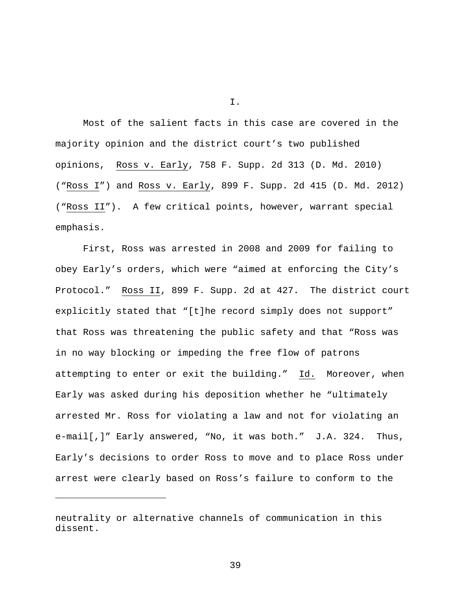Most of the salient facts in this case are covered in the majority opinion and the district court's two published opinions, Ross v. Early, 758 F. Supp. 2d 313 (D. Md. 2010) ("Ross I") and Ross v. Early, 899 F. Supp. 2d 415 (D. Md. 2012) ("Ross II"). A few critical points, however, warrant special emphasis.

First, Ross was arrested in 2008 and 2009 for failing to obey Early's orders, which were "aimed at enforcing the City's Protocol." Ross II, 899 F. Supp. 2d at 427. The district court explicitly stated that "[t]he record simply does not support" that Ross was threatening the public safety and that "Ross was in no way blocking or impeding the free flow of patrons attempting to enter or exit the building." Id. Moreover, when Early was asked during his deposition whether he "ultimately arrested Mr. Ross for violating a law and not for violating an e-mail[,]" Early answered, "No, it was both." J.A. 324. Thus, Early's decisions to order Ross to move and to place Ross under arrest were clearly based on Ross's failure to conform to the

Ĩ.

I.

neutrality or alternative channels of communication in this dissent.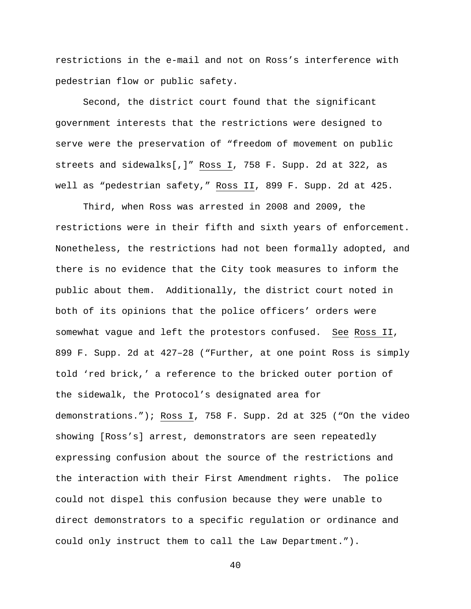restrictions in the e-mail and not on Ross's interference with pedestrian flow or public safety.

Second, the district court found that the significant government interests that the restrictions were designed to serve were the preservation of "freedom of movement on public streets and sidewalks[,]" Ross I, 758 F. Supp. 2d at 322, as well as "pedestrian safety," Ross II, 899 F. Supp. 2d at 425.

Third, when Ross was arrested in 2008 and 2009, the restrictions were in their fifth and sixth years of enforcement. Nonetheless, the restrictions had not been formally adopted, and there is no evidence that the City took measures to inform the public about them. Additionally, the district court noted in both of its opinions that the police officers' orders were somewhat vague and left the protestors confused. See Ross II, 899 F. Supp. 2d at 427–28 ("Further, at one point Ross is simply told 'red brick,' a reference to the bricked outer portion of the sidewalk, the Protocol's designated area for demonstrations."); Ross I, 758 F. Supp. 2d at 325 ("On the video showing [Ross's] arrest, demonstrators are seen repeatedly expressing confusion about the source of the restrictions and the interaction with their First Amendment rights. The police could not dispel this confusion because they were unable to direct demonstrators to a specific regulation or ordinance and could only instruct them to call the Law Department.").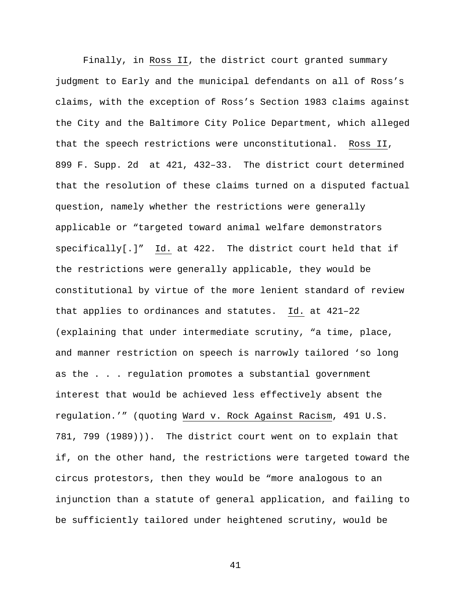Finally, in Ross II, the district court granted summary judgment to Early and the municipal defendants on all of Ross's claims, with the exception of Ross's Section 1983 claims against the City and the Baltimore City Police Department, which alleged that the speech restrictions were unconstitutional. Ross II, 899 F. Supp. 2d at 421, 432–33. The district court determined that the resolution of these claims turned on a disputed factual question, namely whether the restrictions were generally applicable or "targeted toward animal welfare demonstrators specifically[.]" Id. at 422. The district court held that if the restrictions were generally applicable, they would be constitutional by virtue of the more lenient standard of review that applies to ordinances and statutes. Id. at 421–22 (explaining that under intermediate scrutiny, "a time, place, and manner restriction on speech is narrowly tailored 'so long as the . . . regulation promotes a substantial government interest that would be achieved less effectively absent the regulation.'" (quoting Ward v. Rock Against Racism, 491 U.S. 781, 799 (1989))). The district court went on to explain that if, on the other hand, the restrictions were targeted toward the circus protestors, then they would be "more analogous to an injunction than a statute of general application, and failing to be sufficiently tailored under heightened scrutiny, would be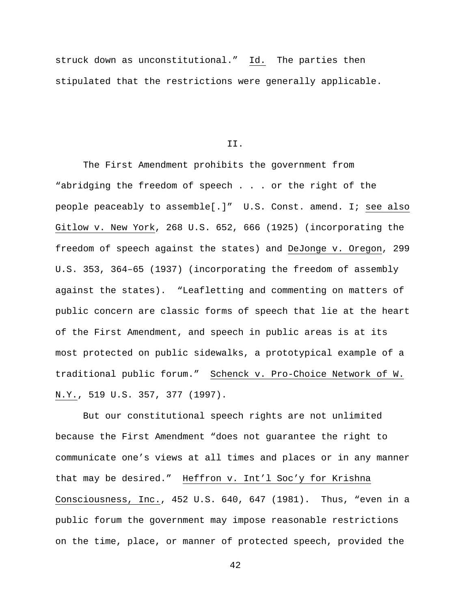struck down as unconstitutional." Id. The parties then stipulated that the restrictions were generally applicable.

II.

The First Amendment prohibits the government from "abridging the freedom of speech . . . or the right of the people peaceably to assemble[.]" U.S. Const. amend. I; see also Gitlow v. New York, 268 U.S. 652, 666 (1925) (incorporating the freedom of speech against the states) and DeJonge v. Oregon, 299 U.S. 353, 364–65 (1937) (incorporating the freedom of assembly against the states). "Leafletting and commenting on matters of public concern are classic forms of speech that lie at the heart of the First Amendment, and speech in public areas is at its most protected on public sidewalks, a prototypical example of a traditional public forum." Schenck v. Pro-Choice Network of W. N.Y., 519 U.S. 357, 377 (1997).

But our constitutional speech rights are not unlimited because the First Amendment "does not guarantee the right to communicate one's views at all times and places or in any manner that may be desired." Heffron v. Int'l Soc'y for Krishna Consciousness, Inc., 452 U.S. 640, 647 (1981). Thus, "even in a public forum the government may impose reasonable restrictions on the time, place, or manner of protected speech, provided the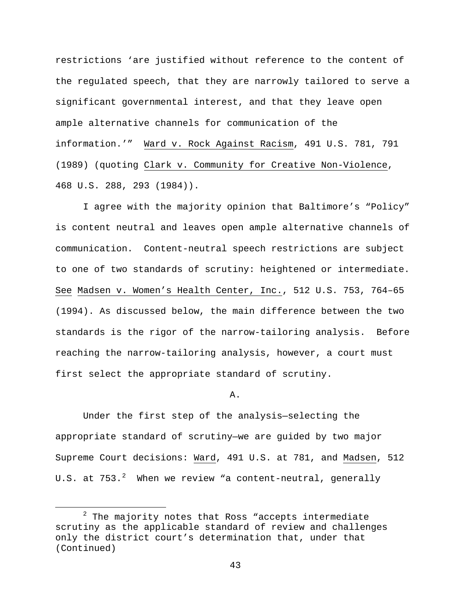restrictions 'are justified without reference to the content of the regulated speech, that they are narrowly tailored to serve a significant governmental interest, and that they leave open ample alternative channels for communication of the information.'" Ward v. Rock Against Racism, 491 U.S. 781, 791 (1989) (quoting Clark v. Community for Creative Non-Violence, 468 U.S. 288, 293 (1984)).

I agree with the majority opinion that Baltimore's "Policy" is content neutral and leaves open ample alternative channels of communication. Content-neutral speech restrictions are subject to one of two standards of scrutiny: heightened or intermediate. See Madsen v. Women's Health Center, Inc., 512 U.S. 753, 764–65 (1994). As discussed below, the main difference between the two standards is the rigor of the narrow-tailoring analysis. Before reaching the narrow-tailoring analysis, however, a court must first select the appropriate standard of scrutiny.

## A.

Under the first step of the analysis—selecting the appropriate standard of scrutiny—we are guided by two major Supreme Court decisions: Ward, 491 U.S. at 781, and Madsen, 512 U.S. at  $753.^2$  $753.^2$  When we review "a content-neutral, generally

<span id="page-42-0"></span> $2$  The majority notes that Ross "accepts intermediate scrutiny as the applicable standard of review and challenges only the district court's determination that, under that (Continued)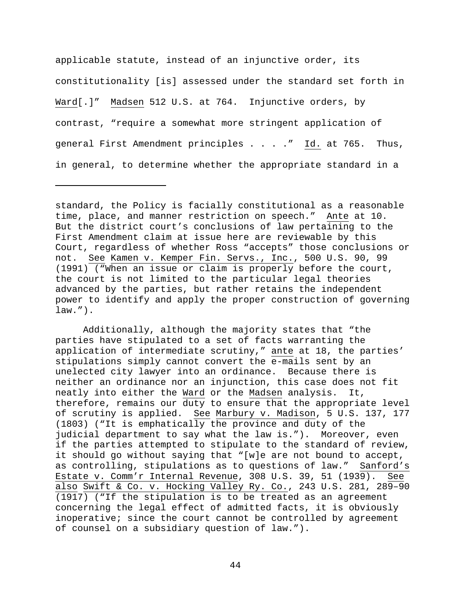applicable statute, instead of an injunctive order, its constitutionality [is] assessed under the standard set forth in Ward[.]" Madsen 512 U.S. at 764. Injunctive orders, by contrast, "require a somewhat more stringent application of general First Amendment principles . . . . " Id. at 765. Thus, in general, to determine whether the appropriate standard in a

Ĩ.

Additionally, although the majority states that "the parties have stipulated to a set of facts warranting the application of intermediate scrutiny," ante at 18, the parties' stipulations simply cannot convert the e-mails sent by an unelected city lawyer into an ordinance. Because there is neither an ordinance nor an injunction, this case does not fit<br>neatly into either the Ward or the Madsen analysis. It, neatly into either the Ward or the Madsen analysis. therefore, remains our duty to ensure that the appropriate level of scrutiny is applied. See Marbury v. Madison, 5 U.S. 137, 177 (1803) ("It is emphatically the province and duty of the judicial department to say what the law is."). Moreover, even if the parties attempted to stipulate to the standard of review, it should go without saying that "[w]e are not bound to accept, as controlling, stipulations as to questions of law." Sanford's Estate v. Comm'r Internal Revenue, 308 U.S. 39, 51 (1939). See also Swift & Co. v. Hocking Valley Ry. Co., 243 U.S. 281, 289–90 (1917) ("If the stipulation is to be treated as an agreement concerning the legal effect of admitted facts, it is obviously inoperative; since the court cannot be controlled by agreement of counsel on a subsidiary question of law.").

standard, the Policy is facially constitutional as a reasonable time, place, and manner restriction on speech." Ante at 10. But the district court's conclusions of law pertaining to the First Amendment claim at issue here are reviewable by this Court, regardless of whether Ross "accepts" those conclusions or not. See Kamen v. Kemper Fin. Servs., Inc., 500 U.S. 90, 99 (1991) ("When an issue or claim is properly before the court, the court is not limited to the particular legal theories advanced by the parties, but rather retains the independent power to identify and apply the proper construction of governing law.").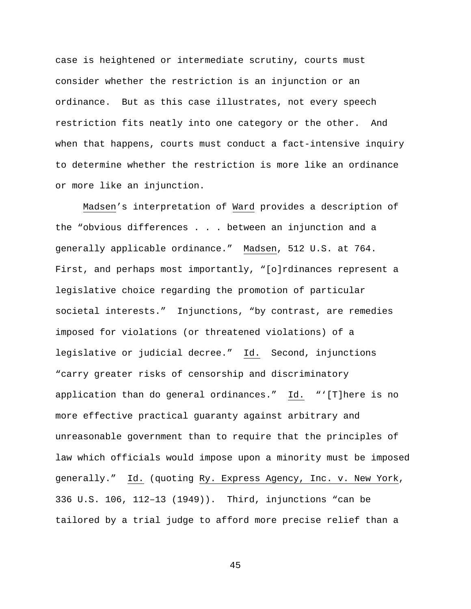case is heightened or intermediate scrutiny, courts must consider whether the restriction is an injunction or an ordinance. But as this case illustrates, not every speech restriction fits neatly into one category or the other. And when that happens, courts must conduct a fact-intensive inquiry to determine whether the restriction is more like an ordinance or more like an injunction.

Madsen's interpretation of Ward provides a description of the "obvious differences . . . between an injunction and a generally applicable ordinance." Madsen, 512 U.S. at 764. First, and perhaps most importantly, "[o]rdinances represent a legislative choice regarding the promotion of particular societal interests." Injunctions, "by contrast, are remedies imposed for violations (or threatened violations) of a legislative or judicial decree." Id. Second, injunctions "carry greater risks of censorship and discriminatory application than do general ordinances." Id. "'[T]here is no more effective practical guaranty against arbitrary and unreasonable government than to require that the principles of law which officials would impose upon a minority must be imposed generally." Id. (quoting Ry. Express Agency, Inc. v. New York, 336 U.S. 106, 112–13 (1949)). Third, injunctions "can be tailored by a trial judge to afford more precise relief than a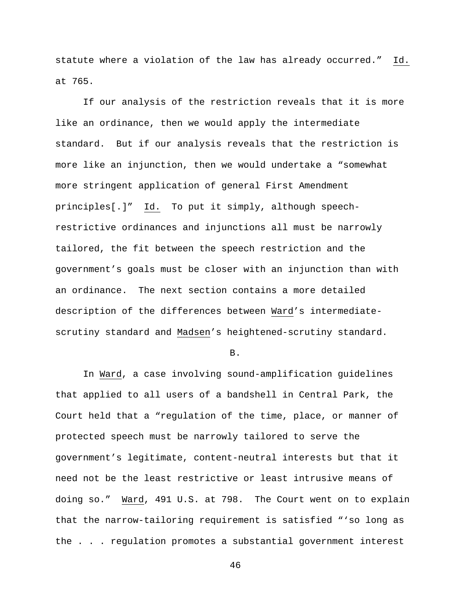statute where a violation of the law has already occurred." Id. at 765.

If our analysis of the restriction reveals that it is more like an ordinance, then we would apply the intermediate standard. But if our analysis reveals that the restriction is more like an injunction, then we would undertake a "somewhat more stringent application of general First Amendment principles[.]" Id. To put it simply, although speechrestrictive ordinances and injunctions all must be narrowly tailored, the fit between the speech restriction and the government's goals must be closer with an injunction than with an ordinance. The next section contains a more detailed description of the differences between Ward's intermediatescrutiny standard and Madsen's heightened-scrutiny standard.

B.

In Ward, a case involving sound-amplification guidelines that applied to all users of a bandshell in Central Park, the Court held that a "regulation of the time, place, or manner of protected speech must be narrowly tailored to serve the government's legitimate, content-neutral interests but that it need not be the least restrictive or least intrusive means of doing so." Ward, 491 U.S. at 798. The Court went on to explain that the narrow-tailoring requirement is satisfied "'so long as the . . . regulation promotes a substantial government interest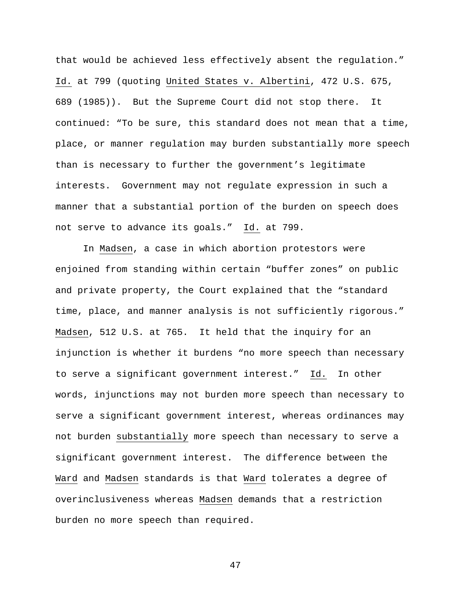that would be achieved less effectively absent the regulation." Id. at 799 (quoting United States v. Albertini, 472 U.S. 675, 689 (1985)). But the Supreme Court did not stop there. It continued: "To be sure, this standard does not mean that a time, place, or manner regulation may burden substantially more speech than is necessary to further the government's legitimate interests. Government may not regulate expression in such a manner that a substantial portion of the burden on speech does not serve to advance its goals." Id. at 799.

In Madsen, a case in which abortion protestors were enjoined from standing within certain "buffer zones" on public and private property, the Court explained that the "standard time, place, and manner analysis is not sufficiently rigorous." Madsen, 512 U.S. at 765. It held that the inquiry for an injunction is whether it burdens "no more speech than necessary to serve a significant government interest." Id. In other words, injunctions may not burden more speech than necessary to serve a significant government interest, whereas ordinances may not burden substantially more speech than necessary to serve a significant government interest. The difference between the Ward and Madsen standards is that Ward tolerates a degree of overinclusiveness whereas Madsen demands that a restriction burden no more speech than required.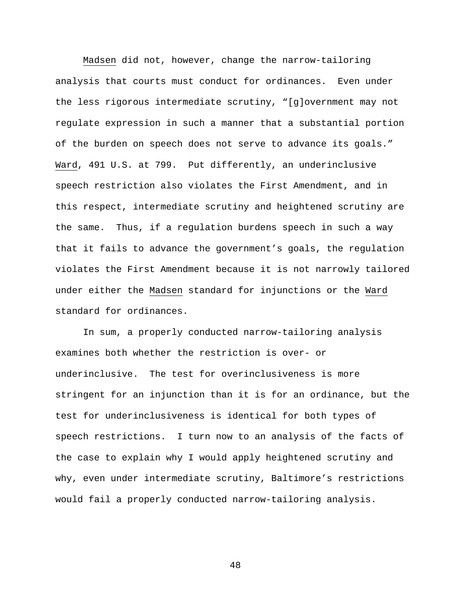Madsen did not, however, change the narrow-tailoring analysis that courts must conduct for ordinances. Even under the less rigorous intermediate scrutiny, "[g]overnment may not regulate expression in such a manner that a substantial portion of the burden on speech does not serve to advance its goals." Ward, 491 U.S. at 799. Put differently, an underinclusive speech restriction also violates the First Amendment, and in this respect, intermediate scrutiny and heightened scrutiny are the same. Thus, if a regulation burdens speech in such a way that it fails to advance the government's goals, the regulation violates the First Amendment because it is not narrowly tailored under either the Madsen standard for injunctions or the Ward standard for ordinances.

In sum, a properly conducted narrow-tailoring analysis examines both whether the restriction is over- or underinclusive. The test for overinclusiveness is more stringent for an injunction than it is for an ordinance, but the test for underinclusiveness is identical for both types of speech restrictions. I turn now to an analysis of the facts of the case to explain why I would apply heightened scrutiny and why, even under intermediate scrutiny, Baltimore's restrictions would fail a properly conducted narrow-tailoring analysis.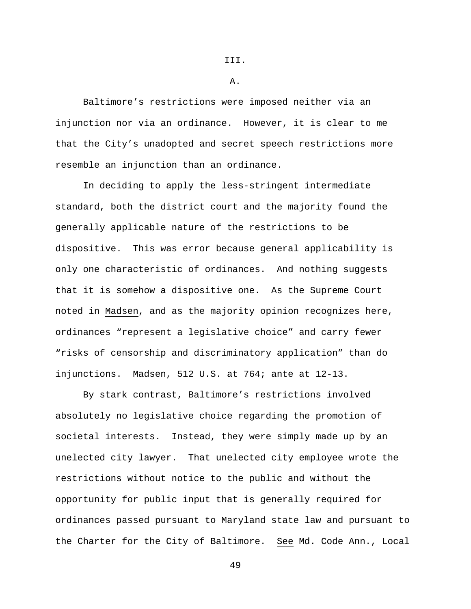III.

A.

Baltimore's restrictions were imposed neither via an injunction nor via an ordinance. However, it is clear to me that the City's unadopted and secret speech restrictions more resemble an injunction than an ordinance.

In deciding to apply the less-stringent intermediate standard, both the district court and the majority found the generally applicable nature of the restrictions to be dispositive. This was error because general applicability is only one characteristic of ordinances. And nothing suggests that it is somehow a dispositive one. As the Supreme Court noted in Madsen, and as the majority opinion recognizes here, ordinances "represent a legislative choice" and carry fewer "risks of censorship and discriminatory application" than do injunctions. Madsen, 512 U.S. at 764; ante at 12-13.

By stark contrast, Baltimore's restrictions involved absolutely no legislative choice regarding the promotion of societal interests. Instead, they were simply made up by an unelected city lawyer. That unelected city employee wrote the restrictions without notice to the public and without the opportunity for public input that is generally required for ordinances passed pursuant to Maryland state law and pursuant to the Charter for the City of Baltimore. See Md. Code Ann., Local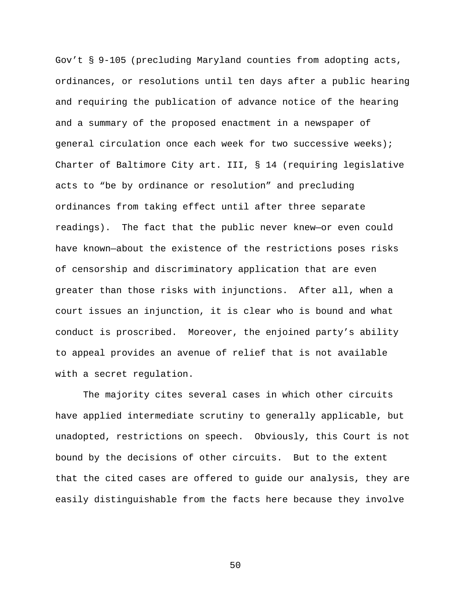Gov't § 9-105 (precluding Maryland counties from adopting acts, ordinances, or resolutions until ten days after a public hearing and requiring the publication of advance notice of the hearing and a summary of the proposed enactment in a newspaper of general circulation once each week for two successive weeks); Charter of Baltimore City art. III, § 14 (requiring legislative acts to "be by ordinance or resolution" and precluding ordinances from taking effect until after three separate readings). The fact that the public never knew—or even could have known—about the existence of the restrictions poses risks of censorship and discriminatory application that are even greater than those risks with injunctions. After all, when a court issues an injunction, it is clear who is bound and what conduct is proscribed. Moreover, the enjoined party's ability to appeal provides an avenue of relief that is not available with a secret regulation.

The majority cites several cases in which other circuits have applied intermediate scrutiny to generally applicable, but unadopted, restrictions on speech. Obviously, this Court is not bound by the decisions of other circuits. But to the extent that the cited cases are offered to guide our analysis, they are easily distinguishable from the facts here because they involve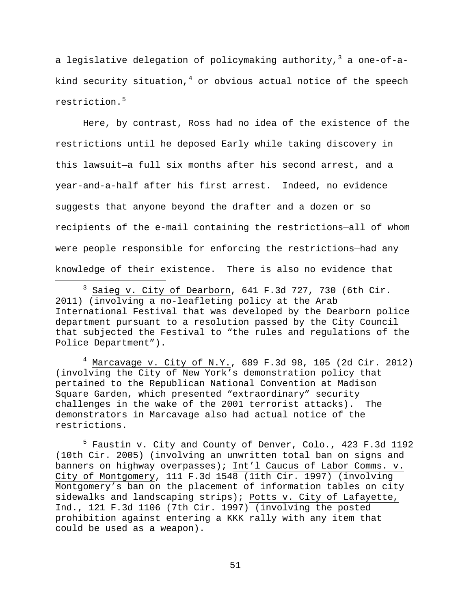a legislative delegation of policymaking authority,  $3$  a one-of-akind security situation,  $4$  or obvious actual notice of the speech restriction.[5](#page-50-2)

Here, by contrast, Ross had no idea of the existence of the restrictions until he deposed Early while taking discovery in this lawsuit—a full six months after his second arrest, and a year-and-a-half after his first arrest. Indeed, no evidence suggests that anyone beyond the drafter and a dozen or so recipients of the e-mail containing the restrictions—all of whom were people responsible for enforcing the restrictions—had any knowledge of their existence. There is also no evidence that

<span id="page-50-1"></span> $4$  Marcavage v. City of N.Y., 689 F.3d 98, 105 (2d Cir. 2012) (involving the City of New York's demonstration policy that pertained to the Republican National Convention at Madison Square Garden, which presented "extraordinary" security challenges in the wake of the 2001 terrorist attacks). The demonstrators in Marcavage also had actual notice of the restrictions.

<span id="page-50-2"></span><sup>5</sup> Faustin v. City and County of Denver, Colo., 423 F.3d 1192 (10th Cir. 2005) (involving an unwritten total ban on signs and banners on highway overpasses); Int'l Caucus of Labor Comms. v. City of Montgomery, 111 F.3d 1548 (11th Cir. 1997) (involving Montgomery's ban on the placement of information tables on city sidewalks and landscaping strips); Potts v. City of Lafayette, Ind., 121 F.3d 1106 (7th Cir. 1997) (involving the posted prohibition against entering a KKK rally with any item that could be used as a weapon).

<span id="page-50-0"></span> $3$  Saieg v. City of Dearborn, 641 F.3d 727, 730 (6th Cir. 2011) (involving a no-leafleting policy at the Arab International Festival that was developed by the Dearborn police department pursuant to a resolution passed by the City Council that subjected the Festival to "the rules and regulations of the Police Department").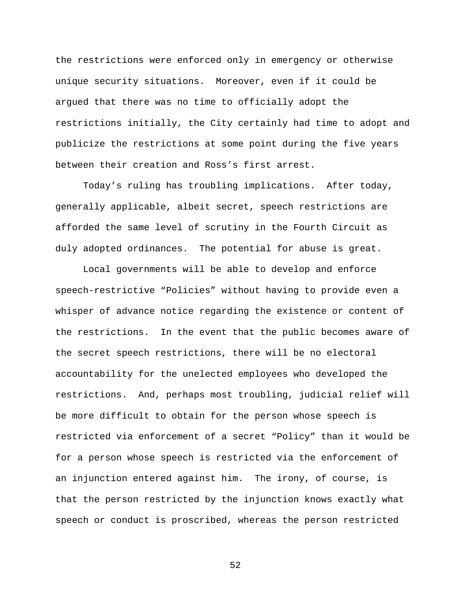the restrictions were enforced only in emergency or otherwise unique security situations. Moreover, even if it could be argued that there was no time to officially adopt the restrictions initially, the City certainly had time to adopt and publicize the restrictions at some point during the five years between their creation and Ross's first arrest.

Today's ruling has troubling implications. After today, generally applicable, albeit secret, speech restrictions are afforded the same level of scrutiny in the Fourth Circuit as duly adopted ordinances. The potential for abuse is great.

Local governments will be able to develop and enforce speech-restrictive "Policies" without having to provide even a whisper of advance notice regarding the existence or content of the restrictions. In the event that the public becomes aware of the secret speech restrictions, there will be no electoral accountability for the unelected employees who developed the restrictions. And, perhaps most troubling, judicial relief will be more difficult to obtain for the person whose speech is restricted via enforcement of a secret "Policy" than it would be for a person whose speech is restricted via the enforcement of an injunction entered against him. The irony, of course, is that the person restricted by the injunction knows exactly what speech or conduct is proscribed, whereas the person restricted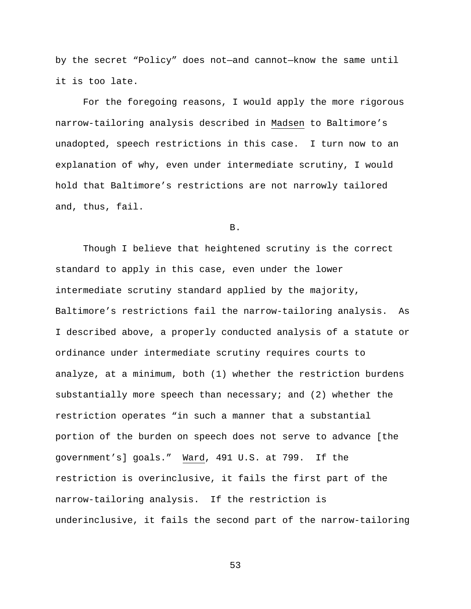by the secret "Policy" does not—and cannot—know the same until it is too late.

For the foregoing reasons, I would apply the more rigorous narrow-tailoring analysis described in Madsen to Baltimore's unadopted, speech restrictions in this case. I turn now to an explanation of why, even under intermediate scrutiny, I would hold that Baltimore's restrictions are not narrowly tailored and, thus, fail.

B.

Though I believe that heightened scrutiny is the correct standard to apply in this case, even under the lower intermediate scrutiny standard applied by the majority, Baltimore's restrictions fail the narrow-tailoring analysis. As I described above, a properly conducted analysis of a statute or ordinance under intermediate scrutiny requires courts to analyze, at a minimum, both (1) whether the restriction burdens substantially more speech than necessary; and (2) whether the restriction operates "in such a manner that a substantial portion of the burden on speech does not serve to advance [the government's] goals." Ward, 491 U.S. at 799. If the restriction is overinclusive, it fails the first part of the narrow-tailoring analysis. If the restriction is underinclusive, it fails the second part of the narrow-tailoring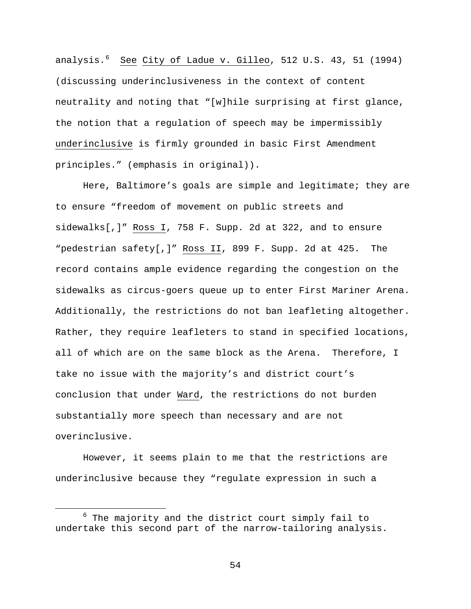analysis.<sup>[6](#page-53-0)</sup> <u>See City of Ladue v. Gilleo</u>, 512 U.S. 43, 51 (1994) (discussing underinclusiveness in the context of content neutrality and noting that "[w]hile surprising at first glance, the notion that a regulation of speech may be impermissibly underinclusive is firmly grounded in basic First Amendment principles." (emphasis in original)).

Here, Baltimore's goals are simple and legitimate; they are to ensure "freedom of movement on public streets and sidewalks[,]" Ross I, 758 F. Supp. 2d at 322, and to ensure "pedestrian safety[,]" Ross II, 899 F. Supp. 2d at 425. The record contains ample evidence regarding the congestion on the sidewalks as circus-goers queue up to enter First Mariner Arena. Additionally, the restrictions do not ban leafleting altogether. Rather, they require leafleters to stand in specified locations, all of which are on the same block as the Arena. Therefore, I take no issue with the majority's and district court's conclusion that under Ward, the restrictions do not burden substantially more speech than necessary and are not overinclusive.

However, it seems plain to me that the restrictions are underinclusive because they "regulate expression in such a

<span id="page-53-0"></span> $6$  The majority and the district court simply fail to undertake this second part of the narrow-tailoring analysis.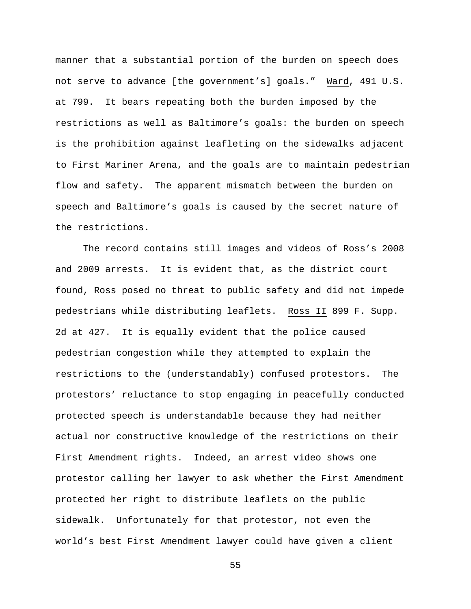manner that a substantial portion of the burden on speech does not serve to advance [the government's] goals." Ward, 491 U.S. at 799. It bears repeating both the burden imposed by the restrictions as well as Baltimore's goals: the burden on speech is the prohibition against leafleting on the sidewalks adjacent to First Mariner Arena, and the goals are to maintain pedestrian flow and safety. The apparent mismatch between the burden on speech and Baltimore's goals is caused by the secret nature of the restrictions.

The record contains still images and videos of Ross's 2008 and 2009 arrests. It is evident that, as the district court found, Ross posed no threat to public safety and did not impede pedestrians while distributing leaflets. Ross II 899 F. Supp. 2d at 427. It is equally evident that the police caused pedestrian congestion while they attempted to explain the restrictions to the (understandably) confused protestors. The protestors' reluctance to stop engaging in peacefully conducted protected speech is understandable because they had neither actual nor constructive knowledge of the restrictions on their First Amendment rights. Indeed, an arrest video shows one protestor calling her lawyer to ask whether the First Amendment protected her right to distribute leaflets on the public sidewalk. Unfortunately for that protestor, not even the world's best First Amendment lawyer could have given a client